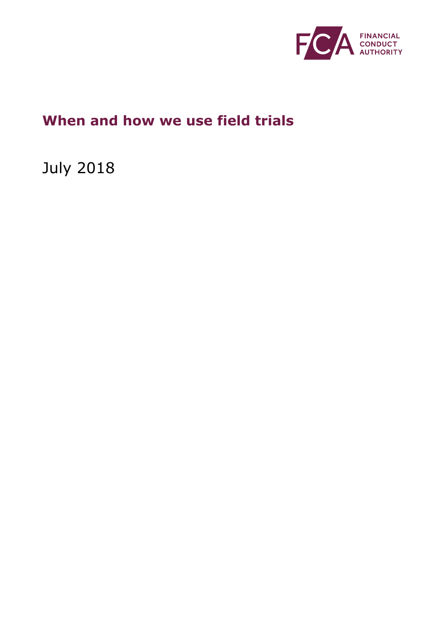

# **When and how we use field trials**

July 2018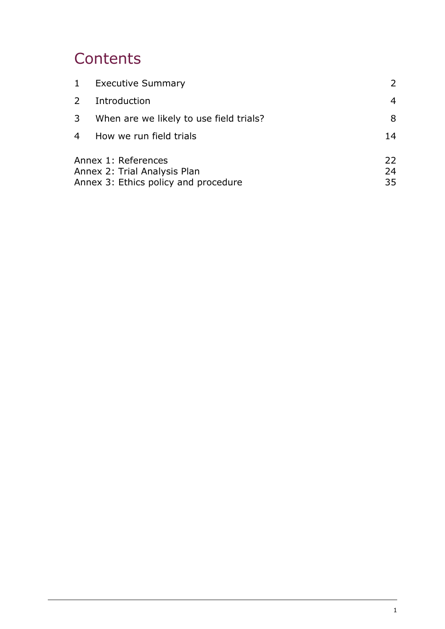# **Contents**

|             | 1 Executive Summary                                 | $\mathcal{L}$ |
|-------------|-----------------------------------------------------|---------------|
| $2^{\circ}$ | Introduction                                        | 4             |
| 3           | When are we likely to use field trials?             | 8             |
|             | 4 How we run field trials                           | 14            |
|             | Annex 1: References<br>Annex 2: Trial Analysis Plan | 22<br>24      |
|             | Annex 3: Ethics policy and procedure                | 35            |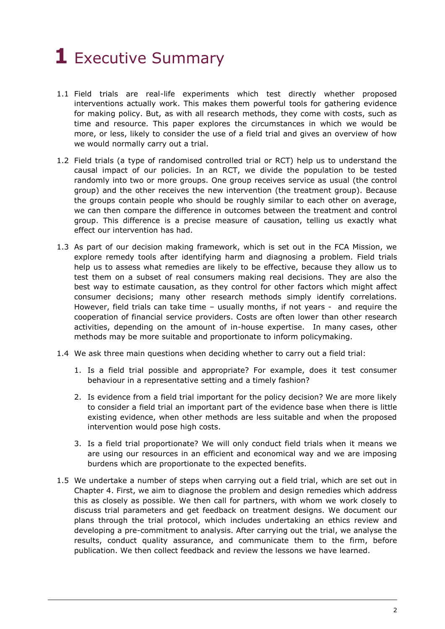# <span id="page-2-0"></span>**1** Executive Summary

- 1.1 Field trials are real-life experiments which test directly whether proposed interventions actually work. This makes them powerful tools for gathering evidence for making policy. But, as with all research methods, they come with costs, such as time and resource. This paper explores the circumstances in which we would be more, or less, likely to consider the use of a field trial and gives an overview of how we would normally carry out a trial.
- 1.2 Field trials (a type of randomised controlled trial or RCT) help us to understand the causal impact of our policies. In an RCT, we divide the population to be tested randomly into two or more groups. One group receives service as usual (the control group) and the other receives the new intervention (the treatment group). Because the groups contain people who should be roughly similar to each other on average, we can then compare the difference in outcomes between the treatment and control group. This difference is a precise measure of causation, telling us exactly what effect our intervention has had.
- 1.3 As part of our decision making framework, which is set out in the FCA Mission, we explore remedy tools after identifying harm and diagnosing a problem. Field trials help us to assess what remedies are likely to be effective, because they allow us to test them on a subset of real consumers making real decisions. They are also the best way to estimate causation, as they control for other factors which might affect consumer decisions; many other research methods simply identify correlations. However, field trials can take time – usually months, if not years - and require the cooperation of financial service providers. Costs are often lower than other research activities, depending on the amount of in-house expertise. In many cases, other methods may be more suitable and proportionate to inform policymaking.
- 1.4 We ask three main questions when deciding whether to carry out a field trial:
	- 1. Is a field trial possible and appropriate? For example, does it test consumer behaviour in a representative setting and a timely fashion?
	- 2. Is evidence from a field trial important for the policy decision? We are more likely to consider a field trial an important part of the evidence base when there is little existing evidence, when other methods are less suitable and when the proposed intervention would pose high costs.
	- 3. Is a field trial proportionate? We will only conduct field trials when it means we are using our resources in an efficient and economical way and we are imposing burdens which are proportionate to the expected benefits.
- 1.5 We undertake a number of steps when carrying out a field trial, which are set out in Chapter 4. First, we aim to diagnose the problem and design remedies which address this as closely as possible. We then call for partners, with whom we work closely to discuss trial parameters and get feedback on treatment designs. We document our plans through the trial protocol, which includes undertaking an ethics review and developing a pre-commitment to analysis. After carrying out the trial, we analyse the results, conduct quality assurance, and communicate them to the firm, before publication. We then collect feedback and review the lessons we have learned.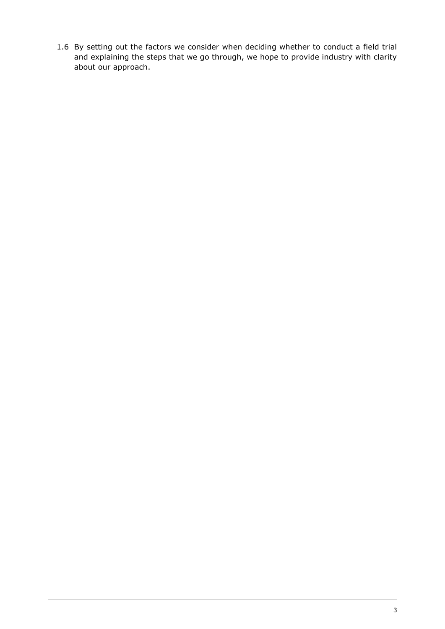1.6 By setting out the factors we consider when deciding whether to conduct a field trial and explaining the steps that we go through, we hope to provide industry with clarity about our approach.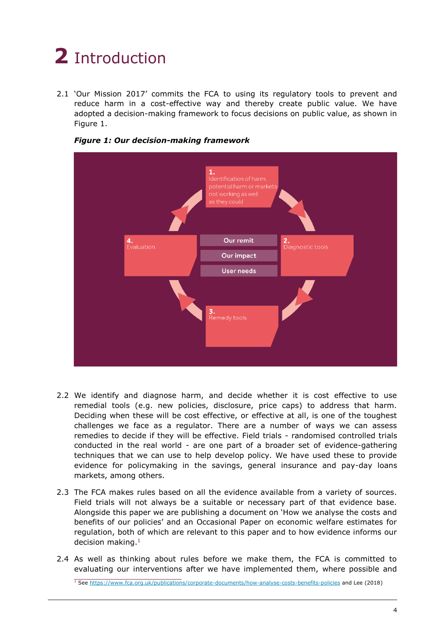# <span id="page-4-0"></span>**2** Introduction

2.1 'Our Mission 2017' commits the FCA to using its regulatory tools to prevent and reduce harm in a cost-effective way and thereby create public value. We have adopted a decision-making framework to focus decisions on public value, as shown in Figure 1.





- 2.2 We identify and diagnose harm, and decide whether it is cost effective to use remedial tools (e.g. new policies, disclosure, price caps) to address that harm. Deciding when these will be cost effective, or effective at all, is one of the toughest challenges we face as a regulator. There are a number of ways we can assess remedies to decide if they will be effective. Field trials - randomised controlled trials conducted in the real world - are one part of a broader set of evidence-gathering techniques that we can use to help develop policy. We have used these to provide evidence for policymaking in the savings, general insurance and pay-day loans markets, among others.
- 2.3 The FCA makes rules based on all the evidence available from a variety of sources. Field trials will not always be a suitable or necessary part of that evidence base. Alongside this paper we are publishing a document on 'How we analyse the costs and benefits of our policies' and an Occasional Paper on economic welfare estimates for regulation, both of which are relevant to this paper and to how evidence informs our decision making.<sup>1</sup>
- 2.4 As well as thinking about rules before we make them, the FCA is committed to evaluating our interventions after we have implemented them, where possible and

<sup>&</sup>lt;sup>1</sup> See<https://www.fca.org.uk/publications/corporate-documents/how-analyse-costs-benefits-policies> and Lee (2018)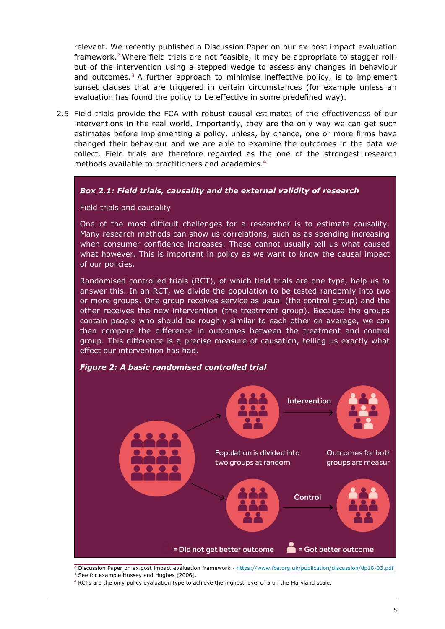relevant. We recently published a Discussion Paper on our ex-post impact evaluation framework.<sup>2</sup> Where field trials are not feasible, it may be appropriate to stagger rollout of the intervention using a stepped wedge to assess any changes in behaviour and outcomes.<sup>3</sup> A further approach to minimise ineffective policy, is to implement sunset clauses that are triggered in certain circumstances (for example unless an evaluation has found the policy to be effective in some predefined way).

2.5 Field trials provide the FCA with robust causal estimates of the effectiveness of our interventions in the real world. Importantly, they are the only way we can get such estimates before implementing a policy, unless, by chance, one or more firms have changed their behaviour and we are able to examine the outcomes in the data we collect. Field trials are therefore regarded as the one of the strongest research methods available to practitioners and academics.<sup>4</sup>

## *1.1 Box 2.1: Field trials, causality and the external validity of research*

#### Field trials and causality

One of the most difficult challenges for a researcher is to estimate causality. Many research methods can show us correlations, such as as spending increasing when consumer confidence increases. These cannot usually tell us what caused what however. This is important in policy as we want to know the causal impact of our policies.

Randomised controlled trials (RCT), of which field trials are one type, help us to answer this. In an RCT, we divide the population to be tested randomly into two or more groups. One group receives service as usual (the control group) and the other receives the new intervention (the treatment group). Because the groups contain people who should be roughly similar to each other on average, we can then compare the difference in outcomes between the treatment and control group. This difference is a precise measure of causation, telling us exactly what effect our intervention has had.



*1.4 Figure 2: A basic randomised controlled trial*

<sup>2</sup> Discussion Paper on ex post impact evaluation framework - <https://www.fca.org.uk/publication/discussion/dp18-03.pdf> <sup>3</sup> See for example Hussey and Hughes (2006).

<sup>4</sup> RCTs are the only policy evaluation type to achieve the highest level of 5 on the Maryland scale.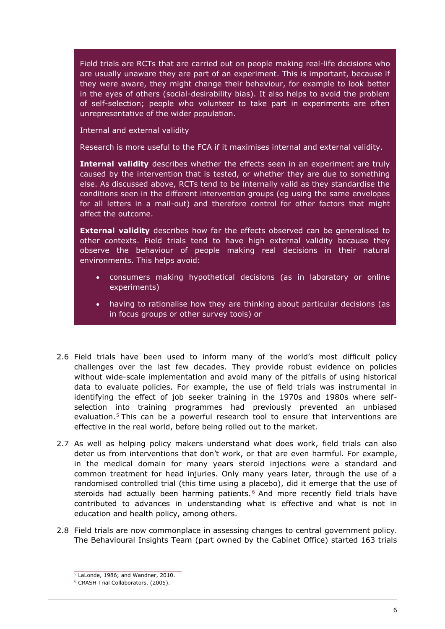Field trials are RCTs that are carried out on people making real-life decisions who are usually unaware they are part of an experiment. This is important, because if they were aware, they might change their behaviour, for example to look better in the eyes of others (social-desirability bias). It also helps to avoid the problem of self-selection; people who volunteer to take part in experiments are often unrepresentative of the wider population.

Internal and external validity

Research is more useful to the FCA if it maximises internal and external validity.

**Internal validity** describes whether the effects seen in an experiment are truly caused by the intervention that is tested, or whether they are due to something else. As discussed above, RCTs tend to be internally valid as they standardise the conditions seen in the different intervention groups (eg using the same envelopes for all letters in a mail-out) and therefore control for other factors that might affect the outcome.

**External validity** describes how far the effects observed can be generalised to other contexts. Field trials tend to have high external validity because they observe the behaviour of people making real decisions in their natural environments. This helps avoid:

- consumers making hypothetical decisions (as in laboratory or online experiments)
- having to rationalise how they are thinking about particular decisions (as in focus groups or other survey tools) or
- 2.6 Field trials have been used to inform many of the world's most difficult policy challenges over the last few decades. They provide robust evidence on policies without wide-scale implementation and avoid many of the pitfalls of using historical data to evaluate policies. For example, the use of field trials was instrumental in identifying the effect of job seeker training in the 1970s and 1980s where selfselection into training programmes had previously prevented an unbiased evaluation.<sup>5</sup> This can be a powerful research tool to ensure that interventions are effective in the real world, before being rolled out to the market.
- 2.7 As well as helping policy makers understand what does work, field trials can also deter us from interventions that don't work, or that are even harmful. For example, in the medical domain for many years steroid injections were a standard and common treatment for head injuries. Only many years later, through the use of a randomised controlled trial (this time using a placebo), did it emerge that the use of steroids had actually been harming patients. $6$  And more recently field trials have contributed to advances in understanding what is effective and what is not in education and health policy, among others.
- 2.8 Field trials are now commonplace in assessing changes to central government policy. The Behavioural Insights Team (part owned by the Cabinet Office) started 163 trials

 $5$  LaLonde, 1986; and Wandner, 2010.

<sup>6</sup> CRASH Trial Collaborators. (2005).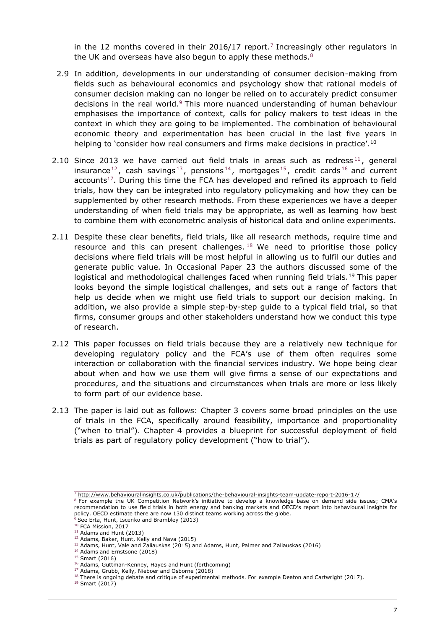in the 12 months covered in their 2016/17 report.<sup>7</sup> Increasingly other regulators in the UK and overseas have also begun to apply these methods. $8$ 

- 2.9 In addition, developments in our understanding of consumer decision-making from fields such as behavioural economics and psychology show that rational models of consumer decision making can no longer be relied on to accurately predict consumer decisions in the real world.<sup>9</sup> This more nuanced understanding of human behaviour emphasises the importance of context, calls for policy makers to test ideas in the context in which they are going to be implemented. The combination of behavioural economic theory and experimentation has been crucial in the last five years in helping to 'consider how real consumers and firms make decisions in practice'.<sup>10</sup>
- 2.10 Since 2013 we have carried out field trials in areas such as redress<sup>11</sup>, general insurance<sup>12</sup>, cash savings<sup>13</sup>, pensions<sup>14</sup>, mortgages<sup>15</sup>, credit cards<sup>16</sup> and current accounts<sup>17</sup>. During this time the FCA has developed and refined its approach to field trials, how they can be integrated into regulatory policymaking and how they can be supplemented by other research methods. From these experiences we have a deeper understanding of when field trials may be appropriate, as well as learning how best to combine them with econometric analysis of historical data and online experiments.
- 2.11 Despite these clear benefits, field trials, like all research methods, require time and resource and this can present challenges.  $18$  We need to prioritise those policy decisions where field trials will be most helpful in allowing us to fulfil our duties and generate public value. In Occasional Paper 23 the authors discussed some of the logistical and methodological challenges faced when running field trials.<sup>19</sup> This paper looks beyond the simple logistical challenges, and sets out a range of factors that help us decide when we might use field trials to support our decision making. In addition, we also provide a simple step-by-step guide to a typical field trial, so that firms, consumer groups and other stakeholders understand how we conduct this type of research.
- 2.12 This paper focusses on field trials because they are a relatively new technique for developing regulatory policy and the FCA's use of them often requires some interaction or collaboration with the financial services industry. We hope being clear about when and how we use them will give firms a sense of our expectations and procedures, and the situations and circumstances when trials are more or less likely to form part of our evidence base.
- 2.13 The paper is laid out as follows: Chapter 3 covers some broad principles on the use of trials in the FCA, specifically around feasibility, importance and proportionality ("when to trial"). Chapter 4 provides a blueprint for successful deployment of field trials as part of regulatory policy development ("how to trial").

<sup>7</sup> <http://www.behaviouralinsights.co.uk/publications/the-behavioural-insights-team-update-report-2016-17/>

<sup>&</sup>lt;sup>8</sup> For example the UK Competition Network's initiative to develop a knowledge base on demand side issues; CMA's recommendation to use field trials in both energy and banking markets and OECD's report into behavioural insights for policy. OECD estimate there are now 130 distinct teams working across the globe.

See Erta, Hunt, Iscenko and Brambley (2013)

<sup>&</sup>lt;sup>10</sup> FCA Mission, 2017

 $11$  Adams and Hunt (2013) <sup>12</sup> Adams, Baker, Hunt, Kelly and Nava (2015)

 $^{13}$  Adams, Hunt, Vale and Zaliauskas (2015) and Adams, Hunt, Palmer and Zaliauskas (2016)

<sup>&</sup>lt;sup>14</sup> Adams and Ernstsone (2018)

<sup>15</sup> Smart (2016)

<sup>16</sup> Adams, Guttman-Kenney, Hayes and Hunt (forthcoming)

<sup>17</sup> Adams, Grubb, Kelly, Nieboer and Osborne (2018)

<sup>&</sup>lt;sup>18</sup> There is ongoing debate and critique of experimental methods. For example Deaton and Cartwright (2017).

<sup>19</sup> Smart (2017)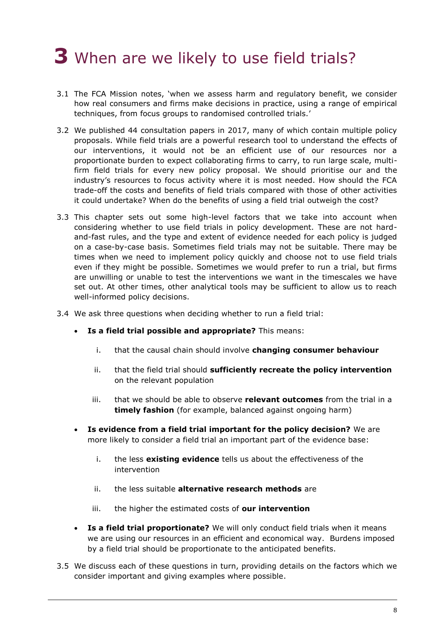# <span id="page-8-0"></span>**3** When are we likely to use field trials?

- 3.1 The FCA Mission notes, 'when we assess harm and regulatory benefit, we consider how real consumers and firms make decisions in practice, using a range of empirical techniques, from focus groups to randomised controlled trials.'
- 3.2 We published 44 consultation papers in 2017, many of which contain multiple policy proposals. While field trials are a powerful research tool to understand the effects of our interventions, it would not be an efficient use of our resources nor a proportionate burden to expect collaborating firms to carry, to run large scale, multifirm field trials for every new policy proposal. We should prioritise our and the industry's resources to focus activity where it is most needed. How should the FCA trade-off the costs and benefits of field trials compared with those of other activities it could undertake? When do the benefits of using a field trial outweigh the cost?
- 3.3 This chapter sets out some high-level factors that we take into account when considering whether to use field trials in policy development. These are not hardand-fast rules, and the type and extent of evidence needed for each policy is judged on a case-by-case basis. Sometimes field trials may not be suitable. There may be times when we need to implement policy quickly and choose not to use field trials even if they might be possible. Sometimes we would prefer to run a trial, but firms are unwilling or unable to test the interventions we want in the timescales we have set out. At other times, other analytical tools may be sufficient to allow us to reach well-informed policy decisions.
- 3.4 We ask three questions when deciding whether to run a field trial:
	- **Is a field trial possible and appropriate?** This means:
		- i. that the causal chain should involve **changing consumer behaviour**
		- ii. that the field trial should **sufficiently recreate the policy intervention** on the relevant population
		- iii. that we should be able to observe **relevant outcomes** from the trial in a **timely fashion** (for example, balanced against ongoing harm)
	- **Is evidence from a field trial important for the policy decision?** We are more likely to consider a field trial an important part of the evidence base:
		- i. the less **existing evidence** tells us about the effectiveness of the intervention
		- ii. the less suitable **alternative research methods** are
		- iii. the higher the estimated costs of **our intervention**
	- **Is a field trial proportionate?** We will only conduct field trials when it means we are using our resources in an efficient and economical way. Burdens imposed by a field trial should be proportionate to the anticipated benefits.
- 3.5 We discuss each of these questions in turn, providing details on the factors which we consider important and giving examples where possible.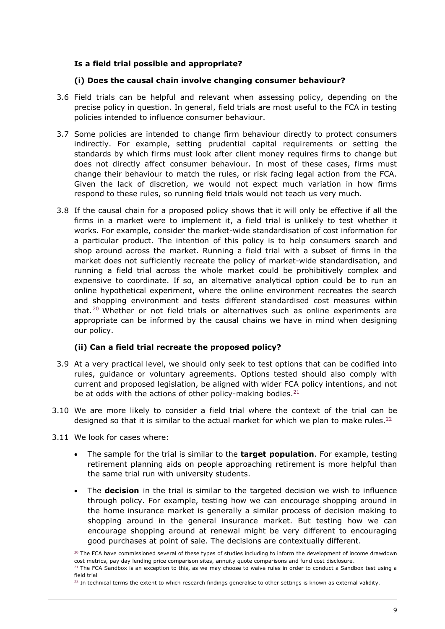# **Is a field trial possible and appropriate?**

## **(i) Does the causal chain involve changing consumer behaviour?**

- 3.6 Field trials can be helpful and relevant when assessing policy, depending on the precise policy in question. In general, field trials are most useful to the FCA in testing policies intended to influence consumer behaviour.
- 3.7 Some policies are intended to change firm behaviour directly to protect consumers indirectly. For example, setting prudential capital requirements or setting the standards by which firms must look after client money requires firms to change but does not directly affect consumer behaviour. In most of these cases, firms must change their behaviour to match the rules, or risk facing legal action from the FCA. Given the lack of discretion, we would not expect much variation in how firms respond to these rules, so running field trials would not teach us very much.
- 3.8 If the causal chain for a proposed policy shows that it will only be effective if all the firms in a market were to implement it, a field trial is unlikely to test whether it works. For example, consider the market-wide standardisation of cost information for a particular product. The intention of this policy is to help consumers search and shop around across the market. Running a field trial with a subset of firms in the market does not sufficiently recreate the policy of market-wide standardisation, and running a field trial across the whole market could be prohibitively complex and expensive to coordinate. If so, an alternative analytical option could be to run an online hypothetical experiment, where the online environment recreates the search and shopping environment and tests different standardised cost measures within that.<sup>20</sup> Whether or not field trials or alternatives such as online experiments are appropriate can be informed by the causal chains we have in mind when designing our policy.

## **(ii) Can a field trial recreate the proposed policy?**

- 3.9 At a very practical level, we should only seek to test options that can be codified into rules, guidance or voluntary agreements. Options tested should also comply with current and proposed legislation, be aligned with wider FCA policy intentions, and not be at odds with the actions of other policy-making bodies.  $21$
- 3.10 We are more likely to consider a field trial where the context of the trial can be designed so that it is similar to the actual market for which we plan to make rules.<sup>22</sup>
- 3.11 We look for cases where:
	- The sample for the trial is similar to the **target population**. For example, testing retirement planning aids on people approaching retirement is more helpful than the same trial run with university students.
	- The **decision** in the trial is similar to the targeted decision we wish to influence through policy. For example, testing how we can encourage shopping around in the home insurance market is generally a similar process of decision making to shopping around in the general insurance market. But testing how we can encourage shopping around at renewal might be very different to encouraging good purchases at point of sale. The decisions are contextually different.

 $20$  The FCA have commissioned several of these types of studies including to inform the development of income drawdown cost metrics, pay day lending price comparison sites, annuity quote comparisons and fund cost disclosure.

 $21$  The FCA Sandbox is an exception to this, as we may choose to waive rules in order to conduct a Sandbox test using a field trial

 $22$  In technical terms the extent to which research findings generalise to other settings is known as external validity.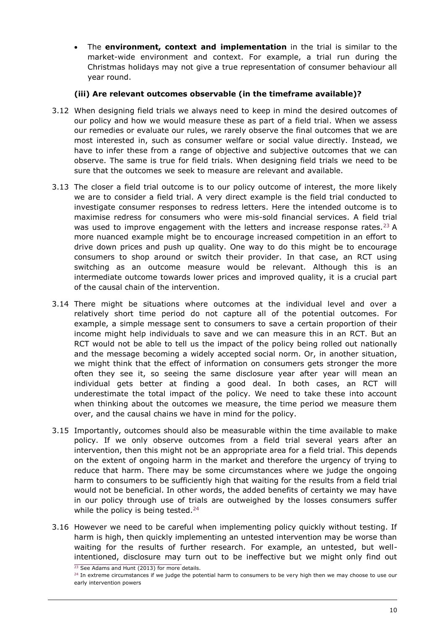• The **environment, context and implementation** in the trial is similar to the market-wide environment and context. For example, a trial run during the Christmas holidays may not give a true representation of consumer behaviour all year round.

# **(iii) Are relevant outcomes observable (in the timeframe available)?**

- 3.12 When designing field trials we always need to keep in mind the desired outcomes of our policy and how we would measure these as part of a field trial. When we assess our remedies or evaluate our rules, we rarely observe the final outcomes that we are most interested in, such as consumer welfare or social value directly. Instead, we have to infer these from a range of objective and subjective outcomes that we can observe. The same is true for field trials. When designing field trials we need to be sure that the outcomes we seek to measure are relevant and available.
- 3.13 The closer a field trial outcome is to our policy outcome of interest, the more likely we are to consider a field trial. A very direct example is the field trial conducted to investigate consumer responses to redress letters. Here the intended outcome is to maximise redress for consumers who were mis-sold financial services. A field trial was used to improve engagement with the letters and increase response rates.<sup>23</sup> A more nuanced example might be to encourage increased competition in an effort to drive down prices and push up quality. One way to do this might be to encourage consumers to shop around or switch their provider. In that case, an RCT using switching as an outcome measure would be relevant. Although this is an intermediate outcome towards lower prices and improved quality, it is a crucial part of the causal chain of the intervention.
- 3.14 There might be situations where outcomes at the individual level and over a relatively short time period do not capture all of the potential outcomes. For example, a simple message sent to consumers to save a certain proportion of their income might help individuals to save and we can measure this in an RCT. But an RCT would not be able to tell us the impact of the policy being rolled out nationally and the message becoming a widely accepted social norm. Or, in another situation, we might think that the effect of information on consumers gets stronger the more often they see it, so seeing the same disclosure year after year will mean an individual gets better at finding a good deal. In both cases, an RCT will underestimate the total impact of the policy. We need to take these into account when thinking about the outcomes we measure, the time period we measure them over, and the causal chains we have in mind for the policy.
- 3.15 Importantly, outcomes should also be measurable within the time available to make policy. If we only observe outcomes from a field trial several years after an intervention, then this might not be an appropriate area for a field trial. This depends on the extent of ongoing harm in the market and therefore the urgency of trying to reduce that harm. There may be some circumstances where we judge the ongoing harm to consumers to be sufficiently high that waiting for the results from a field trial would not be beneficial. In other words, the added benefits of certainty we may have in our policy through use of trials are outweighed by the losses consumers suffer while the policy is being tested.<sup>24</sup>
- 3.16 However we need to be careful when implementing policy quickly without testing. If harm is high, then quickly implementing an untested intervention may be worse than waiting for the results of further research. For example, an untested, but wellintentioned, disclosure may turn out to be ineffective but we might only find out

<sup>&</sup>lt;sup>23</sup> See Adams and Hunt (2013) for more details.

<sup>&</sup>lt;sup>24</sup> In extreme circumstances if we judge the potential harm to consumers to be very high then we may choose to use our early intervention powers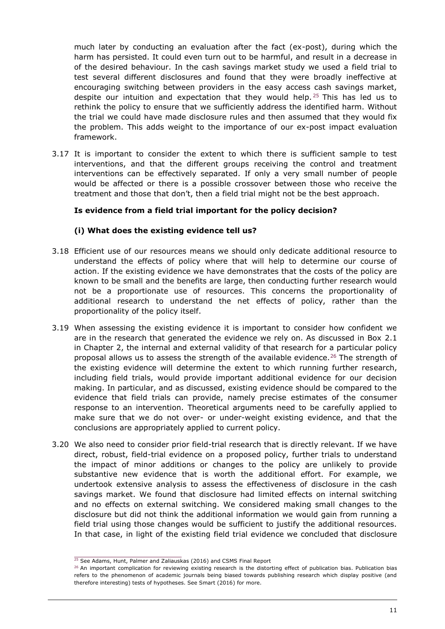much later by conducting an evaluation after the fact (ex-post), during which the harm has persisted. It could even turn out to be harmful, and result in a decrease in of the desired behaviour. In the cash savings market study we used a field trial to test several different disclosures and found that they were broadly ineffective at encouraging switching between providers in the easy access cash savings market, despite our intuition and expectation that they would help.<sup>25</sup> This has led us to rethink the policy to ensure that we sufficiently address the identified harm. Without the trial we could have made disclosure rules and then assumed that they would fix the problem. This adds weight to the importance of our ex-post impact evaluation framework.

3.17 It is important to consider the extent to which there is sufficient sample to test interventions, and that the different groups receiving the control and treatment interventions can be effectively separated. If only a very small number of people would be affected or there is a possible crossover between those who receive the treatment and those that don't, then a field trial might not be the best approach.

## **Is evidence from a field trial important for the policy decision?**

#### **(i) What does the existing evidence tell us?**

- 3.18 Efficient use of our resources means we should only dedicate additional resource to understand the effects of policy where that will help to determine our course of action. If the existing evidence we have demonstrates that the costs of the policy are known to be small and the benefits are large, then conducting further research would not be a proportionate use of resources. This concerns the proportionality of additional research to understand the net effects of policy, rather than the proportionality of the policy itself.
- 3.19 When assessing the existing evidence it is important to consider how confident we are in the research that generated the evidence we rely on. As discussed in Box 2.1 in Chapter 2, the internal and external validity of that research for a particular policy proposal allows us to assess the strength of the available evidence.<sup>26</sup> The strength of the existing evidence will determine the extent to which running further research, including field trials, would provide important additional evidence for our decision making. In particular, and as discussed, existing evidence should be compared to the evidence that field trials can provide, namely precise estimates of the consumer response to an intervention. Theoretical arguments need to be carefully applied to make sure that we do not over- or under-weight existing evidence, and that the conclusions are appropriately applied to current policy.
- 3.20 We also need to consider prior field-trial research that is directly relevant. If we have direct, robust, field-trial evidence on a proposed policy, further trials to understand the impact of minor additions or changes to the policy are unlikely to provide substantive new evidence that is worth the additional effort. For example, we undertook extensive analysis to assess the effectiveness of disclosure in the cash savings market. We found that disclosure had limited effects on internal switching and no effects on external switching. We considered making small changes to the disclosure but did not think the additional information we would gain from running a field trial using those changes would be sufficient to justify the additional resources. In that case, in light of the existing field trial evidence we concluded that disclosure

<sup>&</sup>lt;sup>25</sup> See Adams, Hunt, Palmer and Zaliauskas (2016) and CSMS Final Report

 $26$  An important complication for reviewing existing research is the distorting effect of publication bias. Publication bias refers to the phenomenon of academic journals being biased towards publishing research which display positive (and therefore interesting) tests of hypotheses. See Smart (2016) for more.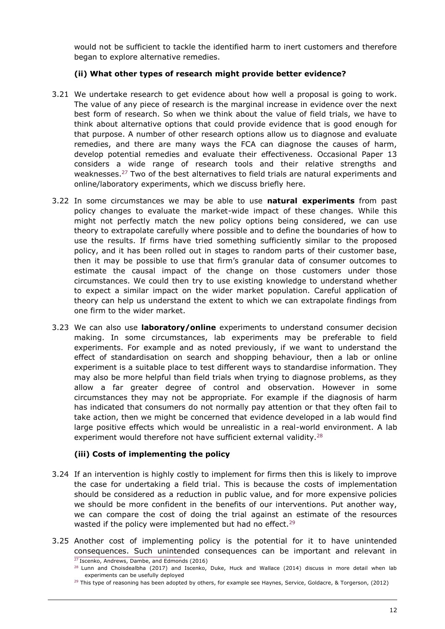would not be sufficient to tackle the identified harm to inert customers and therefore began to explore alternative remedies.

# **(ii) What other types of research might provide better evidence?**

- 3.21 We undertake research to get evidence about how well a proposal is going to work. The value of any piece of research is the marginal increase in evidence over the next best form of research. So when we think about the value of field trials, we have to think about alternative options that could provide evidence that is good enough for that purpose. A number of other research options allow us to diagnose and evaluate remedies, and there are many ways the FCA can diagnose the causes of harm, develop potential remedies and evaluate their effectiveness. Occasional Paper 13 considers a wide range of research tools and their relative strengths and weaknesses.<sup>27</sup> Two of the best alternatives to field trials are natural experiments and online/laboratory experiments, which we discuss briefly here.
- 3.22 In some circumstances we may be able to use **natural experiments** from past policy changes to evaluate the market-wide impact of these changes. While this might not perfectly match the new policy options being considered, we can use theory to extrapolate carefully where possible and to define the boundaries of how to use the results. If firms have tried something sufficiently similar to the proposed policy, and it has been rolled out in stages to random parts of their customer base, then it may be possible to use that firm's granular data of consumer outcomes to estimate the causal impact of the change on those customers under those circumstances. We could then try to use existing knowledge to understand whether to expect a similar impact on the wider market population. Careful application of theory can help us understand the extent to which we can extrapolate findings from one firm to the wider market.
- 3.23 We can also use **laboratory/online** experiments to understand consumer decision making. In some circumstances, lab experiments may be preferable to field experiments. For example and as noted previously, if we want to understand the effect of standardisation on search and shopping behaviour, then a lab or online experiment is a suitable place to test different ways to standardise information. They may also be more helpful than field trials when trying to diagnose problems, as they allow a far greater degree of control and observation. However in some circumstances they may not be appropriate. For example if the diagnosis of harm has indicated that consumers do not normally pay attention or that they often fail to take action, then we might be concerned that evidence developed in a lab would find large positive effects which would be unrealistic in a real-world environment. A lab experiment would therefore not have sufficient external validity.<sup>28</sup>

## **(iii) Costs of implementing the policy**

- 3.24 If an intervention is highly costly to implement for firms then this is likely to improve the case for undertaking a field trial. This is because the costs of implementation should be considered as a reduction in public value, and for more expensive policies we should be more confident in the benefits of our interventions. Put another way, we can compare the cost of doing the trial against an estimate of the resources wasted if the policy were implemented but had no effect.<sup>29</sup>
- 3.25 Another cost of implementing policy is the potential for it to have unintended consequences. Such unintended consequences can be important and relevant in <sup>27</sup> Iscenko, Andrews, Dambe, and Edmonds (2016)

<sup>&</sup>lt;sup>28</sup> Lunn and Choisdealbha (2017) and Iscenko, Duke, Huck and Wallace (2014) discuss in more detail when lab experiments can be usefully deployed

 $29$  This type of reasoning has been adopted by others, for example see Haynes, Service, Goldacre, & Torgerson, (2012)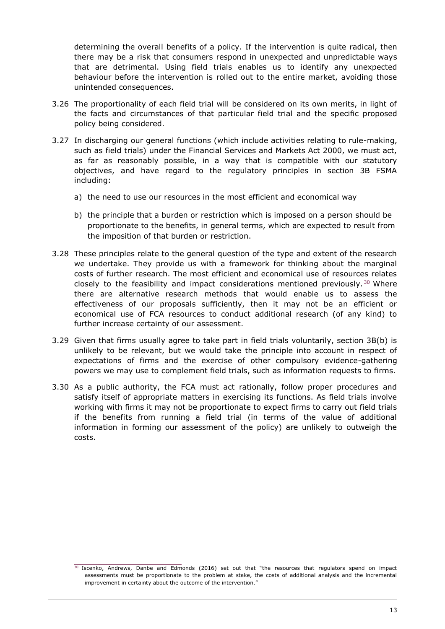determining the overall benefits of a policy. If the intervention is quite radical, then there may be a risk that consumers respond in unexpected and unpredictable ways that are detrimental. Using field trials enables us to identify any unexpected behaviour before the intervention is rolled out to the entire market, avoiding those unintended consequences.

- 3.26 The proportionality of each field trial will be considered on its own merits, in light of the facts and circumstances of that particular field trial and the specific proposed policy being considered.
- 3.27 In discharging our general functions (which include activities relating to rule-making, such as field trials) under the Financial Services and Markets Act 2000, we must act, as far as reasonably possible, in a way that is compatible with our statutory objectives, and have regard to the regulatory principles in section 3B FSMA including:
	- a) the need to use our resources in the most efficient and economical way
	- b) the principle that a burden or restriction which is imposed on a person should be proportionate to the benefits, in general terms, which are expected to result from the imposition of that burden or restriction.
- 3.28 These principles relate to the general question of the type and extent of the research we undertake. They provide us with a framework for thinking about the marginal costs of further research. The most efficient and economical use of resources relates closely to the feasibility and impact considerations mentioned previously.<sup>30</sup> Where there are alternative research methods that would enable us to assess the effectiveness of our proposals sufficiently, then it may not be an efficient or economical use of FCA resources to conduct additional research (of any kind) to further increase certainty of our assessment.
- 3.29 Given that firms usually agree to take part in field trials voluntarily, section 3B(b) is unlikely to be relevant, but we would take the principle into account in respect of expectations of firms and the exercise of other compulsory evidence-gathering powers we may use to complement field trials, such as information requests to firms.
- 3.30 As a public authority, the FCA must act rationally, follow proper procedures and satisfy itself of appropriate matters in exercising its functions. As field trials involve working with firms it may not be proportionate to expect firms to carry out field trials if the benefits from running a field trial (in terms of the value of additional information in forming our assessment of the policy) are unlikely to outweigh the costs.

<sup>&</sup>lt;sup>30</sup> Iscenko, Andrews, Danbe and Edmonds (2016) set out that "the resources that regulators spend on impact assessments must be proportionate to the problem at stake, the costs of additional analysis and the incremental improvement in certainty about the outcome of the intervention."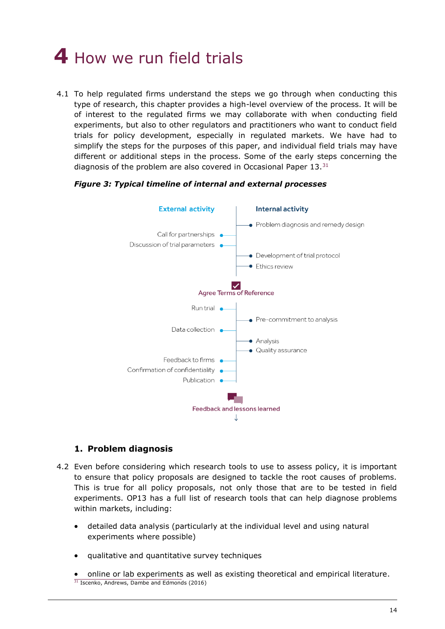# <span id="page-14-0"></span>**4** How we run field trials

4.1 To help regulated firms understand the steps we go through when conducting this type of research, this chapter provides a high-level overview of the process. It will be of interest to the regulated firms we may collaborate with when conducting field experiments, but also to other regulators and practitioners who want to conduct field trials for policy development, especially in regulated markets. We have had to simplify the steps for the purposes of this paper, and individual field trials may have different or additional steps in the process. Some of the early steps concerning the diagnosis of the problem are also covered in Occasional Paper 13.<sup>31</sup>





# **1. Problem diagnosis**

- 4.2 Even before considering which research tools to use to assess policy, it is important to ensure that policy proposals are designed to tackle the root causes of problems. This is true for all policy proposals, not only those that are to be tested in field experiments. OP13 has a full list of research tools that can help diagnose problems within markets, including:
	- detailed data analysis (particularly at the individual level and using natural experiments where possible)
	- qualitative and quantitative survey techniques
	- online or lab experiments as well as existing theoretical and empirical literature. <sup>31</sup> Iscenko, Andrews, Dambe and Edmonds (2016)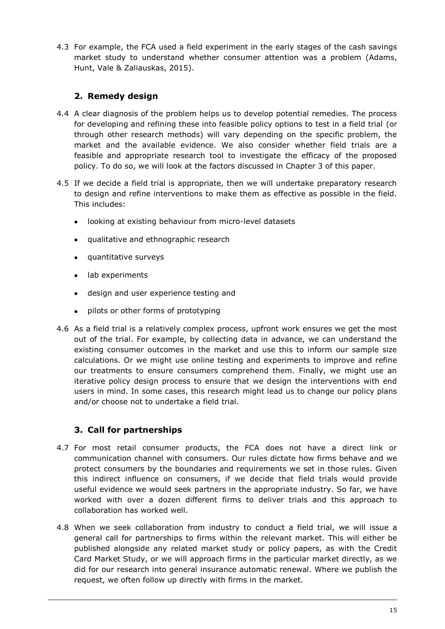4.3 For example, the FCA used a field experiment in the early stages of the cash savings market study to understand whether consumer attention was a problem (Adams, Hunt, Vale & Zaliauskas, 2015).

# **2. Remedy design**

- 4.4 A clear diagnosis of the problem helps us to develop potential remedies. The process for developing and refining these into feasible policy options to test in a field trial (or through other research methods) will vary depending on the specific problem, the market and the available evidence. We also consider whether field trials are a feasible and appropriate research tool to investigate the efficacy of the proposed policy. To do so, we will look at the factors discussed in Chapter 3 of this paper.
- 4.5 If we decide a field trial is appropriate, then we will undertake preparatory research to design and refine interventions to make them as effective as possible in the field. This includes:
	- looking at existing behaviour from micro-level datasets
	- qualitative and ethnographic research
	- quantitative surveys
	- lab experiments
	- design and user experience testing and
	- pilots or other forms of prototyping
- 4.6 As a field trial is a relatively complex process, upfront work ensures we get the most out of the trial. For example, by collecting data in advance, we can understand the existing consumer outcomes in the market and use this to inform our sample size calculations. Or we might use online testing and experiments to improve and refine our treatments to ensure consumers comprehend them. Finally, we might use an iterative policy design process to ensure that we design the interventions with end users in mind. In some cases, this research might lead us to change our policy plans and/or choose not to undertake a field trial.

# **3. Call for partnerships**

- 4.7 For most retail consumer products, the FCA does not have a direct link or communication channel with consumers. Our rules dictate how firms behave and we protect consumers by the boundaries and requirements we set in those rules. Given this indirect influence on consumers, if we decide that field trials would provide useful evidence we would seek partners in the appropriate industry. So far, we have worked with over a dozen different firms to deliver trials and this approach to collaboration has worked well.
- 4.8 When we seek collaboration from industry to conduct a field trial, we will issue a general call for partnerships to firms within the relevant market. This will either be published alongside any related market study or policy papers, as with the Credit Card Market Study, or we will approach firms in the particular market directly, as we did for our research into general insurance automatic renewal. Where we publish the request, we often follow up directly with firms in the market.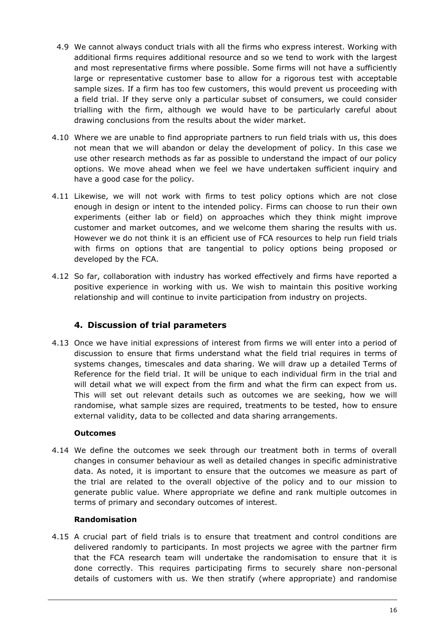- 4.9 We cannot always conduct trials with all the firms who express interest. Working with additional firms requires additional resource and so we tend to work with the largest and most representative firms where possible. Some firms will not have a sufficiently large or representative customer base to allow for a rigorous test with acceptable sample sizes. If a firm has too few customers, this would prevent us proceeding with a field trial. If they serve only a particular subset of consumers, we could consider trialling with the firm, although we would have to be particularly careful about drawing conclusions from the results about the wider market.
- 4.10 Where we are unable to find appropriate partners to run field trials with us, this does not mean that we will abandon or delay the development of policy. In this case we use other research methods as far as possible to understand the impact of our policy options. We move ahead when we feel we have undertaken sufficient inquiry and have a good case for the policy.
- 4.11 Likewise, we will not work with firms to test policy options which are not close enough in design or intent to the intended policy. Firms can choose to run their own experiments (either lab or field) on approaches which they think might improve customer and market outcomes, and we welcome them sharing the results with us. However we do not think it is an efficient use of FCA resources to help run field trials with firms on options that are tangential to policy options being proposed or developed by the FCA.
- 4.12 So far, collaboration with industry has worked effectively and firms have reported a positive experience in working with us. We wish to maintain this positive working relationship and will continue to invite participation from industry on projects.

# **4. Discussion of trial parameters**

4.13 Once we have initial expressions of interest from firms we will enter into a period of discussion to ensure that firms understand what the field trial requires in terms of systems changes, timescales and data sharing. We will draw up a detailed Terms of Reference for the field trial. It will be unique to each individual firm in the trial and will detail what we will expect from the firm and what the firm can expect from us. This will set out relevant details such as outcomes we are seeking, how we will randomise, what sample sizes are required, treatments to be tested, how to ensure external validity, data to be collected and data sharing arrangements.

# **Outcomes**

4.14 We define the outcomes we seek through our treatment both in terms of overall changes in consumer behaviour as well as detailed changes in specific administrative data. As noted, it is important to ensure that the outcomes we measure as part of the trial are related to the overall objective of the policy and to our mission to generate public value. Where appropriate we define and rank multiple outcomes in terms of primary and secondary outcomes of interest.

## **Randomisation**

4.15 A crucial part of field trials is to ensure that treatment and control conditions are delivered randomly to participants. In most projects we agree with the partner firm that the FCA research team will undertake the randomisation to ensure that it is done correctly. This requires participating firms to securely share non-personal details of customers with us. We then stratify (where appropriate) and randomise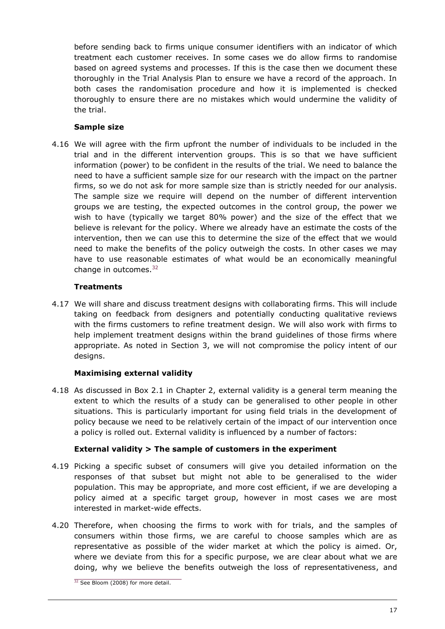before sending back to firms unique consumer identifiers with an indicator of which treatment each customer receives. In some cases we do allow firms to randomise based on agreed systems and processes. If this is the case then we document these thoroughly in the Trial Analysis Plan to ensure we have a record of the approach. In both cases the randomisation procedure and how it is implemented is checked thoroughly to ensure there are no mistakes which would undermine the validity of the trial.

# **Sample size**

4.16 We will agree with the firm upfront the number of individuals to be included in the trial and in the different intervention groups. This is so that we have sufficient information (power) to be confident in the results of the trial. We need to balance the need to have a sufficient sample size for our research with the impact on the partner firms, so we do not ask for more sample size than is strictly needed for our analysis. The sample size we require will depend on the number of different intervention groups we are testing, the expected outcomes in the control group, the power we wish to have (typically we target 80% power) and the size of the effect that we believe is relevant for the policy. Where we already have an estimate the costs of the intervention, then we can use this to determine the size of the effect that we would need to make the benefits of the policy outweigh the costs. In other cases we may have to use reasonable estimates of what would be an economically meaningful change in outcomes.<sup>32</sup>

# **Treatments**

4.17 We will share and discuss treatment designs with collaborating firms. This will include taking on feedback from designers and potentially conducting qualitative reviews with the firms customers to refine treatment design. We will also work with firms to help implement treatment designs within the brand guidelines of those firms where appropriate. As noted in Section 3, we will not compromise the policy intent of our designs.

# **Maximising external validity**

4.18 As discussed in Box 2.1 in Chapter 2, external validity is a general term meaning the extent to which the results of a study can be generalised to other people in other situations. This is particularly important for using field trials in the development of policy because we need to be relatively certain of the impact of our intervention once a policy is rolled out. External validity is influenced by a number of factors:

# **External validity > The sample of customers in the experiment**

- 4.19 Picking a specific subset of consumers will give you detailed information on the responses of that subset but might not able to be generalised to the wider population. This may be appropriate, and more cost efficient, if we are developing a policy aimed at a specific target group, however in most cases we are most interested in market-wide effects.
- 4.20 Therefore, when choosing the firms to work with for trials, and the samples of consumers within those firms, we are careful to choose samples which are as representative as possible of the wider market at which the policy is aimed. Or, where we deviate from this for a specific purpose, we are clear about what we are doing, why we believe the benefits outweigh the loss of representativeness, and

<sup>&</sup>lt;sup>32</sup> See Bloom (2008) for more detail.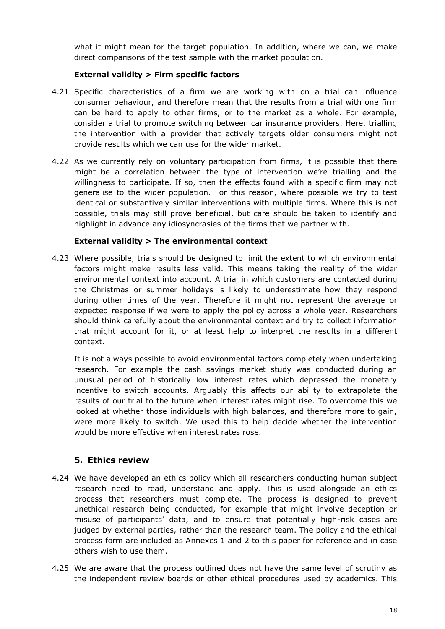what it might mean for the target population. In addition, where we can, we make direct comparisons of the test sample with the market population.

# **External validity > Firm specific factors**

- 4.21 Specific characteristics of a firm we are working with on a trial can influence consumer behaviour, and therefore mean that the results from a trial with one firm can be hard to apply to other firms, or to the market as a whole. For example, consider a trial to promote switching between car insurance providers. Here, trialling the intervention with a provider that actively targets older consumers might not provide results which we can use for the wider market.
- 4.22 As we currently rely on voluntary participation from firms, it is possible that there might be a correlation between the type of intervention we're trialling and the willingness to participate. If so, then the effects found with a specific firm may not generalise to the wider population. For this reason, where possible we try to test identical or substantively similar interventions with multiple firms. Where this is not possible, trials may still prove beneficial, but care should be taken to identify and highlight in advance any idiosyncrasies of the firms that we partner with.

# **External validity > The environmental context**

4.23 Where possible, trials should be designed to limit the extent to which environmental factors might make results less valid. This means taking the reality of the wider environmental context into account. A trial in which customers are contacted during the Christmas or summer holidays is likely to underestimate how they respond during other times of the year. Therefore it might not represent the average or expected response if we were to apply the policy across a whole year. Researchers should think carefully about the environmental context and try to collect information that might account for it, or at least help to interpret the results in a different context.

It is not always possible to avoid environmental factors completely when undertaking research. For example the cash savings market study was conducted during an unusual period of historically low interest rates which depressed the monetary incentive to switch accounts. Arguably this affects our ability to extrapolate the results of our trial to the future when interest rates might rise. To overcome this we looked at whether those individuals with high balances, and therefore more to gain, were more likely to switch. We used this to help decide whether the intervention would be more effective when interest rates rose.

# **5. Ethics review**

- 4.24 We have developed an ethics policy which all researchers conducting human subject research need to read, understand and apply. This is used alongside an ethics process that researchers must complete. The process is designed to prevent unethical research being conducted, for example that might involve deception or misuse of participants' data, and to ensure that potentially high-risk cases are judged by external parties, rather than the research team. The policy and the ethical process form are included as Annexes 1 and 2 to this paper for reference and in case others wish to use them.
- 4.25 We are aware that the process outlined does not have the same level of scrutiny as the independent review boards or other ethical procedures used by academics. This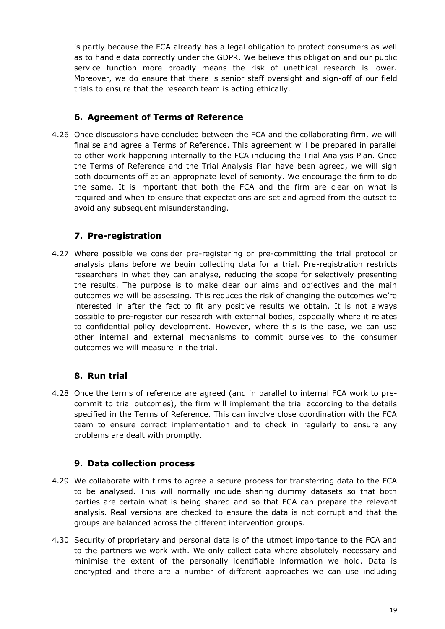is partly because the FCA already has a legal obligation to protect consumers as well as to handle data correctly under the GDPR. We believe this obligation and our public service function more broadly means the risk of unethical research is lower. Moreover, we do ensure that there is senior staff oversight and sign-off of our field trials to ensure that the research team is acting ethically.

# **6. Agreement of Terms of Reference**

4.26 Once discussions have concluded between the FCA and the collaborating firm, we will finalise and agree a Terms of Reference. This agreement will be prepared in parallel to other work happening internally to the FCA including the Trial Analysis Plan. Once the Terms of Reference and the Trial Analysis Plan have been agreed, we will sign both documents off at an appropriate level of seniority. We encourage the firm to do the same. It is important that both the FCA and the firm are clear on what is required and when to ensure that expectations are set and agreed from the outset to avoid any subsequent misunderstanding.

# **7. Pre-registration**

4.27 Where possible we consider pre-registering or pre-committing the trial protocol or analysis plans before we begin collecting data for a trial. Pre-registration restricts researchers in what they can analyse, reducing the scope for selectively presenting the results. The purpose is to make clear our aims and objectives and the main outcomes we will be assessing. This reduces the risk of changing the outcomes we're interested in after the fact to fit any positive results we obtain. It is not always possible to pre-register our research with external bodies, especially where it relates to confidential policy development. However, where this is the case, we can use other internal and external mechanisms to commit ourselves to the consumer outcomes we will measure in the trial.

# **8. Run trial**

4.28 Once the terms of reference are agreed (and in parallel to internal FCA work to precommit to trial outcomes), the firm will implement the trial according to the details specified in the Terms of Reference. This can involve close coordination with the FCA team to ensure correct implementation and to check in regularly to ensure any problems are dealt with promptly.

# **9. Data collection process**

- 4.29 We collaborate with firms to agree a secure process for transferring data to the FCA to be analysed. This will normally include sharing dummy datasets so that both parties are certain what is being shared and so that FCA can prepare the relevant analysis. Real versions are checked to ensure the data is not corrupt and that the groups are balanced across the different intervention groups.
- 4.30 Security of proprietary and personal data is of the utmost importance to the FCA and to the partners we work with. We only collect data where absolutely necessary and minimise the extent of the personally identifiable information we hold. Data is encrypted and there are a number of different approaches we can use including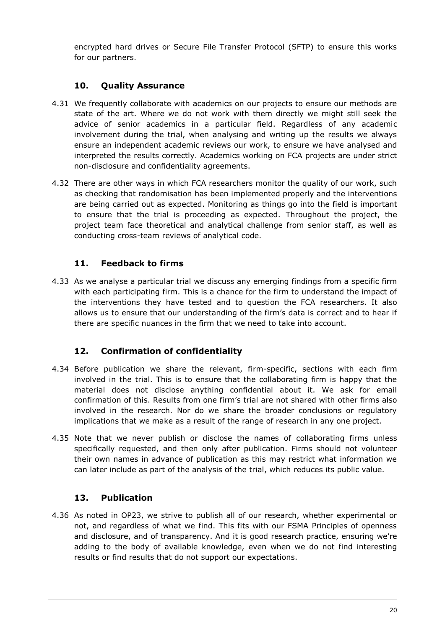encrypted hard drives or Secure File Transfer Protocol (SFTP) to ensure this works for our partners.

# **10. Quality Assurance**

- 4.31 We frequently collaborate with academics on our projects to ensure our methods are state of the art. Where we do not work with them directly we might still seek the advice of senior academics in a particular field. Regardless of any academic involvement during the trial, when analysing and writing up the results we always ensure an independent academic reviews our work, to ensure we have analysed and interpreted the results correctly. Academics working on FCA projects are under strict non-disclosure and confidentiality agreements.
- 4.32 There are other ways in which FCA researchers monitor the quality of our work, such as checking that randomisation has been implemented properly and the interventions are being carried out as expected. Monitoring as things go into the field is important to ensure that the trial is proceeding as expected. Throughout the project, the project team face theoretical and analytical challenge from senior staff, as well as conducting cross-team reviews of analytical code.

# **11. Feedback to firms**

4.33 As we analyse a particular trial we discuss any emerging findings from a specific firm with each participating firm. This is a chance for the firm to understand the impact of the interventions they have tested and to question the FCA researchers. It also allows us to ensure that our understanding of the firm's data is correct and to hear if there are specific nuances in the firm that we need to take into account.

# **12. Confirmation of confidentiality**

- 4.34 Before publication we share the relevant, firm-specific, sections with each firm involved in the trial. This is to ensure that the collaborating firm is happy that the material does not disclose anything confidential about it. We ask for email confirmation of this. Results from one firm's trial are not shared with other firms also involved in the research. Nor do we share the broader conclusions or regulatory implications that we make as a result of the range of research in any one project.
- 4.35 Note that we never publish or disclose the names of collaborating firms unless specifically requested, and then only after publication. Firms should not volunteer their own names in advance of publication as this may restrict what information we can later include as part of the analysis of the trial, which reduces its public value.

# **13. Publication**

4.36 As noted in OP23, we strive to publish all of our research, whether experimental or not, and regardless of what we find. This fits with our FSMA Principles of openness and disclosure, and of transparency. And it is good research practice, ensuring we're adding to the body of available knowledge, even when we do not find interesting results or find results that do not support our expectations.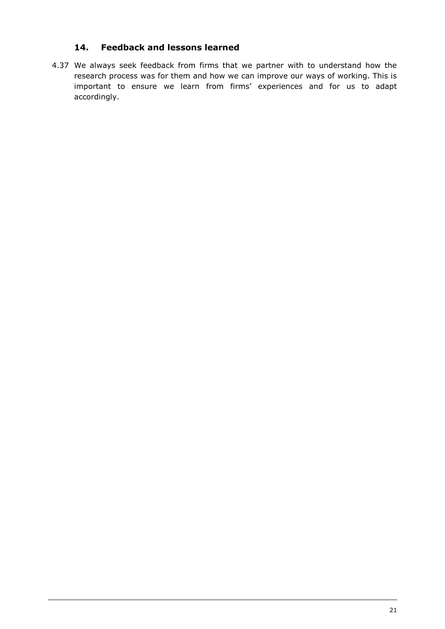# **14. Feedback and lessons learned**

4.37 We always seek feedback from firms that we partner with to understand how the research process was for them and how we can improve our ways of working. This is important to ensure we learn from firms' experiences and for us to adapt accordingly.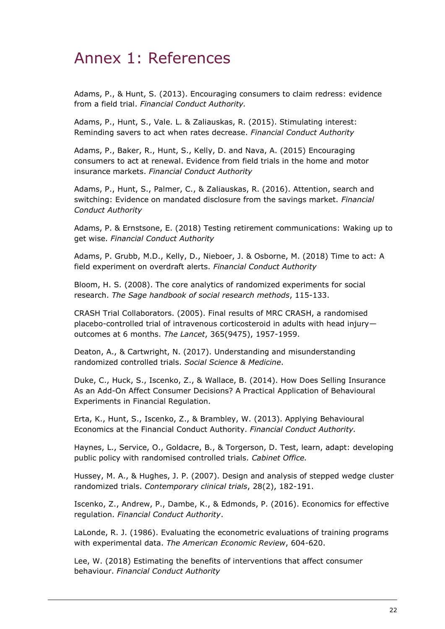# <span id="page-22-0"></span>Annex 1: References

Adams, P., & Hunt, S. (2013). Encouraging consumers to claim redress: evidence from a field trial. *Financial Conduct Authority.*

Adams, P., Hunt, S., Vale. L. & Zaliauskas, R. (2015). Stimulating interest: Reminding savers to act when rates decrease. *Financial Conduct Authority*

Adams, P., Baker, R., Hunt, S., Kelly, D. and Nava, A. (2015) Encouraging consumers to act at renewal. Evidence from field trials in the home and motor insurance markets. *Financial Conduct Authority*

Adams, P., Hunt, S., Palmer, C., & Zaliauskas, R. (2016). Attention, search and switching: Evidence on mandated disclosure from the savings market. *Financial Conduct Authority*

Adams, P. & Ernstsone, E. (2018) Testing retirement communications: Waking up to get wise. *Financial Conduct Authority*

Adams, P. Grubb, M.D., Kelly, D., Nieboer, J. & Osborne, M. (2018) Time to act: A field experiment on overdraft alerts. *Financial Conduct Authority*

Bloom, H. S. (2008). The core analytics of randomized experiments for social research. *The Sage handbook of social research methods*, 115-133.

CRASH Trial Collaborators. (2005). Final results of MRC CRASH, a randomised placebo-controlled trial of intravenous corticosteroid in adults with head injury outcomes at 6 months. *The Lancet*, 365(9475), 1957-1959.

Deaton, A., & Cartwright, N. (2017). Understanding and misunderstanding randomized controlled trials. *Social Science & Medicine*.

Duke, C., Huck, S., Iscenko, Z., & Wallace, B. (2014). How Does Selling Insurance As an Add-On Affect Consumer Decisions? A Practical Application of Behavioural Experiments in Financial Regulation.

Erta, K., Hunt, S., Iscenko, Z., & Brambley, W. (2013). Applying Behavioural Economics at the Financial Conduct Authority. *Financial Conduct Authority.*

Haynes, L., Service, O., Goldacre, B., & Torgerson, D. Test, learn, adapt: developing public policy with randomised controlled trials. *Cabinet Office.*

Hussey, M. A., & Hughes, J. P. (2007). Design and analysis of stepped wedge cluster randomized trials. *Contemporary clinical trials*, 28(2), 182-191.

Iscenko, Z., Andrew, P., Dambe, K., & Edmonds, P. (2016). Economics for effective regulation. *Financial Conduct Authority*.

LaLonde, R. J. (1986). Evaluating the econometric evaluations of training programs with experimental data. *The American Economic Review*, 604-620.

Lee, W. (2018) Estimating the benefits of interventions that affect consumer behaviour. *Financial Conduct Authority*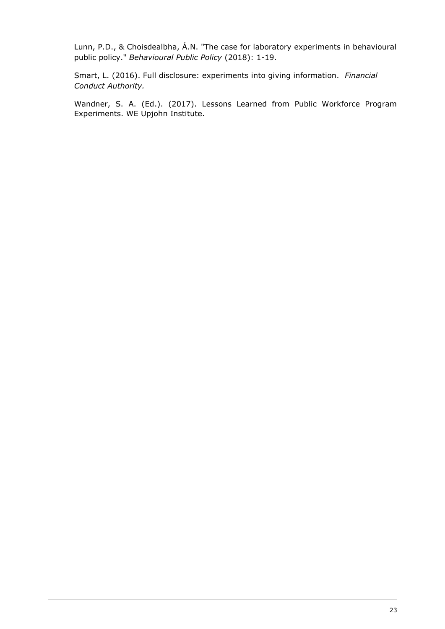Lunn, P.D., & Choisdealbha, Á.N. "The case for laboratory experiments in behavioural public policy." *Behavioural Public Policy* (2018): 1-19.

Smart, L. (2016). Full disclosure: experiments into giving information. *Financial Conduct Authority.*

Wandner, S. A. (Ed.). (2017). Lessons Learned from Public Workforce Program Experiments. WE Upjohn Institute.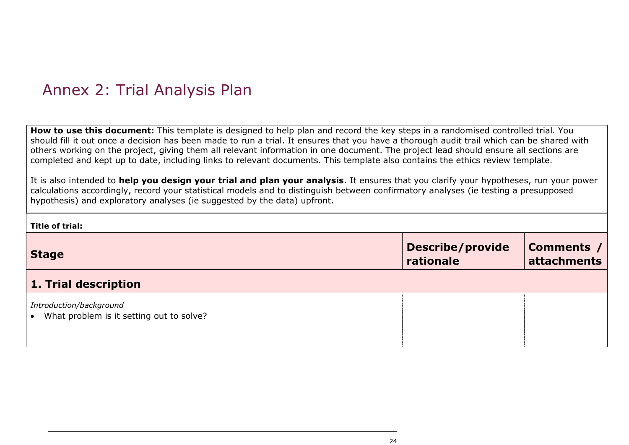# Annex 2: Trial Analysis Plan

**How to use this document:** This template is designed to help plan and record the key steps in a randomised controlled trial. You should fill it out once a decision has been made to run a trial. It ensures that you have a thorough audit trail which can be shared with others working on the project, giving them all relevant information in one document. The project lead should ensure all sections are completed and kept up to date, including links to relevant documents. This template also contains the ethics review template.

It is also intended to **help you design your trial and plan your analysis**. It ensures that you clarify your hypotheses, run your power calculations accordingly, record your statistical models and to distinguish between confirmatory analyses (ie testing a presupposed hypothesis) and exploratory analyses (ie suggested by the data) upfront.

<span id="page-24-0"></span>

| Title of trial:                                                     |                                      |                           |
|---------------------------------------------------------------------|--------------------------------------|---------------------------|
| <b>Stage</b>                                                        | <b>Describe/provide</b><br>rationale | Comments /<br>attachments |
| 1. Trial description                                                |                                      |                           |
| Introduction/background<br>What problem is it setting out to solve? |                                      |                           |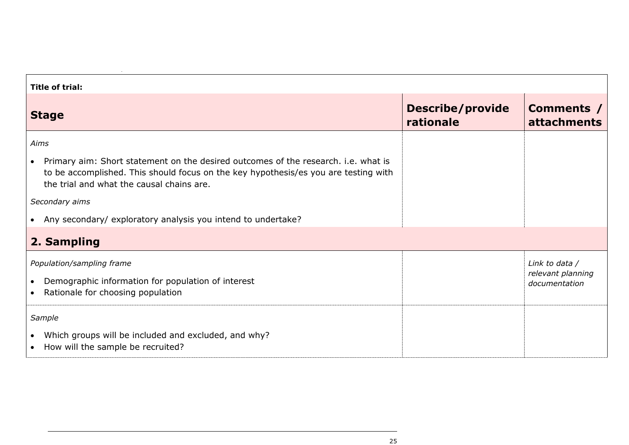| <b>Title of trial:</b>                                                                                                                                                                                                              |                                      |                                                      |  |
|-------------------------------------------------------------------------------------------------------------------------------------------------------------------------------------------------------------------------------------|--------------------------------------|------------------------------------------------------|--|
| <b>Stage</b>                                                                                                                                                                                                                        | <b>Describe/provide</b><br>rationale | Comments /<br><b>attachments</b>                     |  |
| Aims                                                                                                                                                                                                                                |                                      |                                                      |  |
| Primary aim: Short statement on the desired outcomes of the research. i.e. what is<br>$\bullet$<br>to be accomplished. This should focus on the key hypothesis/es you are testing with<br>the trial and what the causal chains are. |                                      |                                                      |  |
| Secondary aims                                                                                                                                                                                                                      |                                      |                                                      |  |
| Any secondary/ exploratory analysis you intend to undertake?<br>$\bullet$                                                                                                                                                           |                                      |                                                      |  |
| 2. Sampling                                                                                                                                                                                                                         |                                      |                                                      |  |
| Population/sampling frame<br>Demographic information for population of interest<br>$\bullet$<br>Rationale for choosing population                                                                                                   |                                      | Link to data /<br>relevant planning<br>documentation |  |
| Sample<br>Which groups will be included and excluded, and why?<br>$\bullet$<br>How will the sample be recruited?<br>$\bullet$                                                                                                       |                                      |                                                      |  |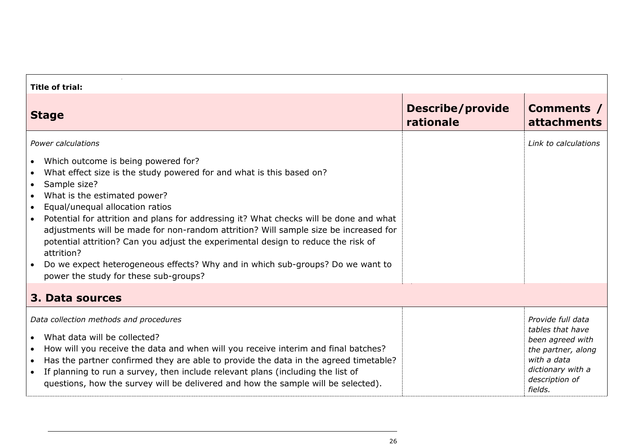| <b>Title of trial:</b>                                                                                                                                                                                                                                                                                                                                                                                                                                                                                                                                                                                                             |                                      |                                                                                                                                                  |  |
|------------------------------------------------------------------------------------------------------------------------------------------------------------------------------------------------------------------------------------------------------------------------------------------------------------------------------------------------------------------------------------------------------------------------------------------------------------------------------------------------------------------------------------------------------------------------------------------------------------------------------------|--------------------------------------|--------------------------------------------------------------------------------------------------------------------------------------------------|--|
| <b>Stage</b>                                                                                                                                                                                                                                                                                                                                                                                                                                                                                                                                                                                                                       | <b>Describe/provide</b><br>rationale | Comments /<br><b>attachments</b>                                                                                                                 |  |
| Power calculations<br>Which outcome is being powered for?<br>What effect size is the study powered for and what is this based on?<br>Sample size?<br>$\bullet$<br>What is the estimated power?<br>$\bullet$<br>Equal/unequal allocation ratios<br>$\bullet$<br>Potential for attrition and plans for addressing it? What checks will be done and what<br>adjustments will be made for non-random attrition? Will sample size be increased for<br>potential attrition? Can you adjust the experimental design to reduce the risk of<br>attrition?<br>Do we expect heterogeneous effects? Why and in which sub-groups? Do we want to |                                      | Link to calculations                                                                                                                             |  |
| power the study for these sub-groups?                                                                                                                                                                                                                                                                                                                                                                                                                                                                                                                                                                                              |                                      |                                                                                                                                                  |  |
| 3. Data sources                                                                                                                                                                                                                                                                                                                                                                                                                                                                                                                                                                                                                    |                                      |                                                                                                                                                  |  |
| Data collection methods and procedures<br>What data will be collected?<br>How will you receive the data and when will you receive interim and final batches?<br>Has the partner confirmed they are able to provide the data in the agreed timetable?<br>$\bullet$<br>If planning to run a survey, then include relevant plans (including the list of<br>$\bullet$<br>questions, how the survey will be delivered and how the sample will be selected).                                                                                                                                                                             |                                      | Provide full data<br>tables that have<br>been agreed with<br>the partner, along<br>with a data<br>dictionary with a<br>description of<br>fields. |  |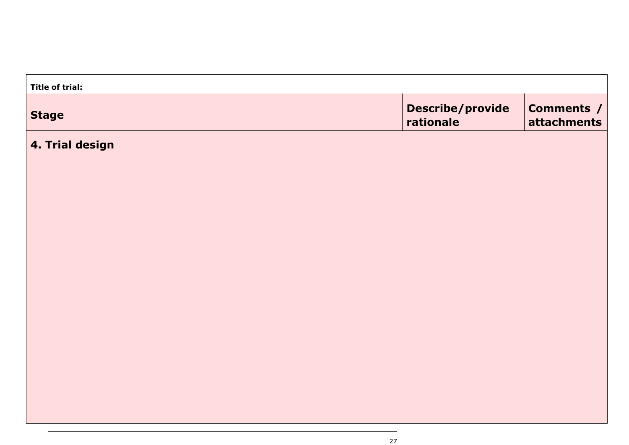| Title of trial: |                                      |                                  |
|-----------------|--------------------------------------|----------------------------------|
| <b>Stage</b>    | <b>Describe/provide</b><br>rationale | <b>Comments /</b><br>attachments |
| 4. Trial design |                                      |                                  |
|                 |                                      |                                  |
|                 |                                      |                                  |
|                 |                                      |                                  |
|                 |                                      |                                  |
|                 |                                      |                                  |
|                 |                                      |                                  |
|                 |                                      |                                  |
|                 |                                      |                                  |
|                 |                                      |                                  |
|                 |                                      |                                  |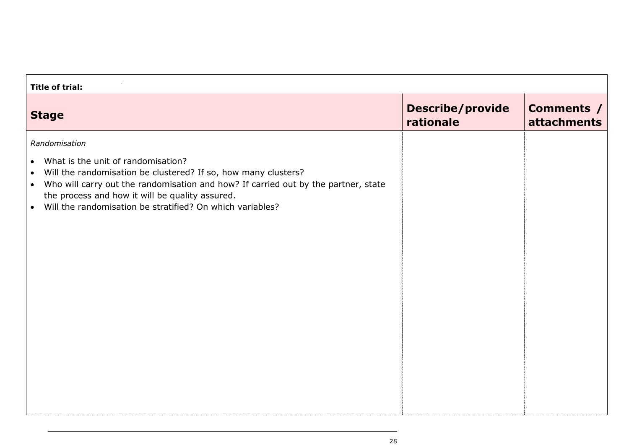| <b>Title of trial:</b>                                                                                                                                                                                                                                                                                                                                                          |                                      |                                  |  |
|---------------------------------------------------------------------------------------------------------------------------------------------------------------------------------------------------------------------------------------------------------------------------------------------------------------------------------------------------------------------------------|--------------------------------------|----------------------------------|--|
| <b>Stage</b>                                                                                                                                                                                                                                                                                                                                                                    | <b>Describe/provide</b><br>rationale | Comments /<br><b>attachments</b> |  |
| Randomisation<br>What is the unit of randomisation?<br>$\bullet$<br>Will the randomisation be clustered? If so, how many clusters?<br>$\bullet$<br>Who will carry out the randomisation and how? If carried out by the partner, state<br>$\bullet$<br>the process and how it will be quality assured.<br>Will the randomisation be stratified? On which variables?<br>$\bullet$ |                                      |                                  |  |
|                                                                                                                                                                                                                                                                                                                                                                                 |                                      |                                  |  |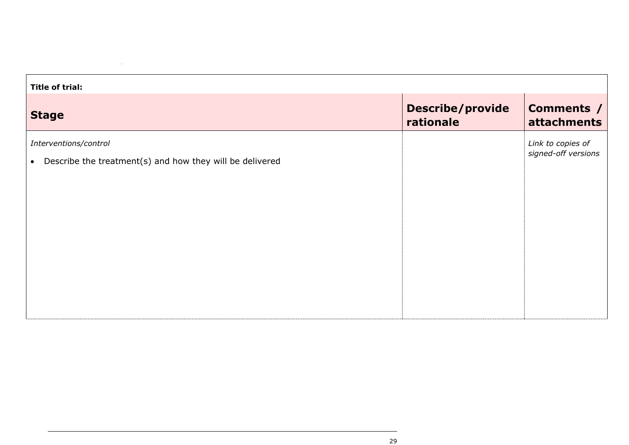| <b>Title of trial:</b>                                                                         |                                      |                                          |
|------------------------------------------------------------------------------------------------|--------------------------------------|------------------------------------------|
| <b>Stage</b>                                                                                   | <b>Describe/provide</b><br>rationale | <b>Comments /</b><br>attachments         |
| Interventions/control<br>Describe the treatment(s) and how they will be delivered<br>$\bullet$ |                                      | Link to copies of<br>signed-off versions |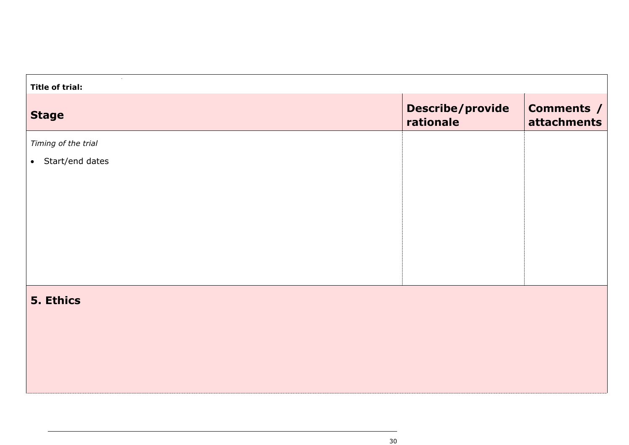| <b>Title of trial:</b> |                                      |                                  |  |
|------------------------|--------------------------------------|----------------------------------|--|
| <b>Stage</b>           | <b>Describe/provide</b><br>rationale | <b>Comments /</b><br>attachments |  |
| Timing of the trial    |                                      |                                  |  |
| • Start/end dates      |                                      |                                  |  |
|                        |                                      |                                  |  |
|                        |                                      |                                  |  |
|                        |                                      |                                  |  |
|                        |                                      |                                  |  |
|                        |                                      |                                  |  |
|                        |                                      |                                  |  |
| 5. Ethics              |                                      |                                  |  |
|                        |                                      |                                  |  |
|                        |                                      |                                  |  |
|                        |                                      |                                  |  |
|                        |                                      |                                  |  |
|                        |                                      |                                  |  |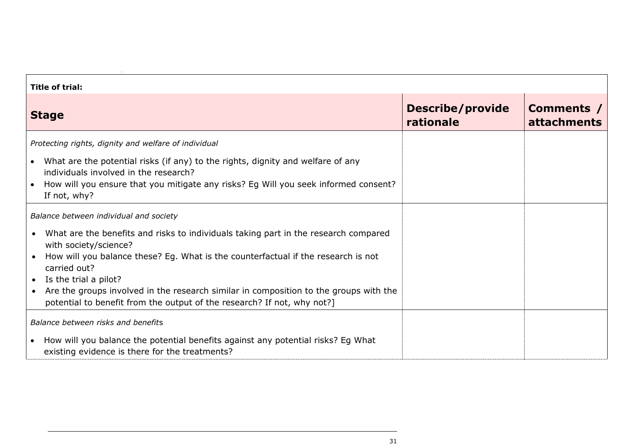| <b>Title of trial:</b>                                                                                                                                                                                                                                                                                                                                                                                                                   |                                      |                                  |  |
|------------------------------------------------------------------------------------------------------------------------------------------------------------------------------------------------------------------------------------------------------------------------------------------------------------------------------------------------------------------------------------------------------------------------------------------|--------------------------------------|----------------------------------|--|
| <b>Stage</b>                                                                                                                                                                                                                                                                                                                                                                                                                             | <b>Describe/provide</b><br>rationale | Comments /<br><b>attachments</b> |  |
| Protecting rights, dignity and welfare of individual                                                                                                                                                                                                                                                                                                                                                                                     |                                      |                                  |  |
| • What are the potential risks (if any) to the rights, dignity and welfare of any<br>individuals involved in the research?<br>How will you ensure that you mitigate any risks? Eg Will you seek informed consent?<br>$\bullet$<br>If not, why?                                                                                                                                                                                           |                                      |                                  |  |
| Balance between individual and society                                                                                                                                                                                                                                                                                                                                                                                                   |                                      |                                  |  |
| What are the benefits and risks to individuals taking part in the research compared<br>with society/science?<br>How will you balance these? Eg. What is the counterfactual if the research is not<br>carried out?<br>Is the trial a pilot?<br>$\bullet$<br>Are the groups involved in the research similar in composition to the groups with the<br>$\bullet$<br>potential to benefit from the output of the research? If not, why not?] |                                      |                                  |  |
| Balance between risks and benefits                                                                                                                                                                                                                                                                                                                                                                                                       |                                      |                                  |  |
| How will you balance the potential benefits against any potential risks? Eg What<br>$\bullet$<br>existing evidence is there for the treatments?                                                                                                                                                                                                                                                                                          |                                      |                                  |  |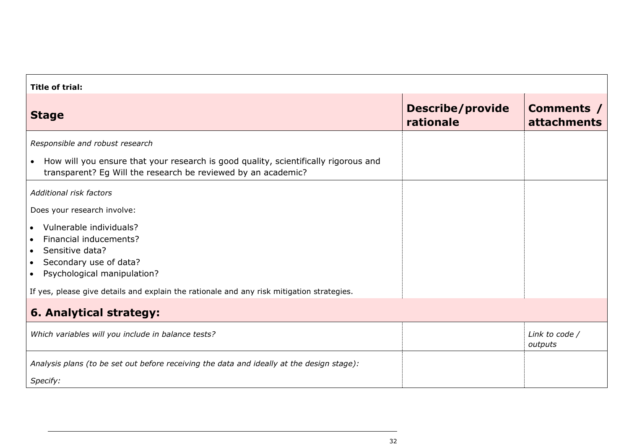| <b>Title of trial:</b>                                                                                                                                                            |                                      |                                  |  |
|-----------------------------------------------------------------------------------------------------------------------------------------------------------------------------------|--------------------------------------|----------------------------------|--|
| <b>Stage</b>                                                                                                                                                                      | <b>Describe/provide</b><br>rationale | Comments /<br><b>attachments</b> |  |
| Responsible and robust research                                                                                                                                                   |                                      |                                  |  |
| How will you ensure that your research is good quality, scientifically rigorous and<br>$\bullet$<br>transparent? Eg Will the research be reviewed by an academic?                 |                                      |                                  |  |
| Additional risk factors                                                                                                                                                           |                                      |                                  |  |
| Does your research involve:                                                                                                                                                       |                                      |                                  |  |
| Vulnerable individuals?<br>$\bullet$<br>Financial inducements?<br>Sensitive data?<br>$\bullet$<br>Secondary use of data?<br>$\bullet$<br>Psychological manipulation?<br>$\bullet$ |                                      |                                  |  |
| If yes, please give details and explain the rationale and any risk mitigation strategies.                                                                                         |                                      |                                  |  |
| 6. Analytical strategy:                                                                                                                                                           |                                      |                                  |  |
| Which variables will you include in balance tests?                                                                                                                                |                                      | Link to code /<br>outputs        |  |
| Analysis plans (to be set out before receiving the data and ideally at the design stage):<br>Specify:                                                                             |                                      |                                  |  |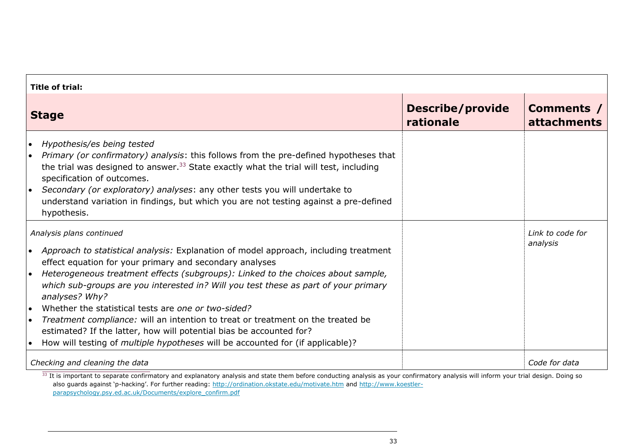| <b>Title of trial:</b>                                                                                                                                                                                                                                                                                                                                                                                                                                                                                                                                                                                                                                                                                                                 |                                      |                                  |  |
|----------------------------------------------------------------------------------------------------------------------------------------------------------------------------------------------------------------------------------------------------------------------------------------------------------------------------------------------------------------------------------------------------------------------------------------------------------------------------------------------------------------------------------------------------------------------------------------------------------------------------------------------------------------------------------------------------------------------------------------|--------------------------------------|----------------------------------|--|
| <b>Stage</b>                                                                                                                                                                                                                                                                                                                                                                                                                                                                                                                                                                                                                                                                                                                           | <b>Describe/provide</b><br>rationale | Comments /<br><b>attachments</b> |  |
| Hypothesis/es being tested<br>$\bullet$<br>Primary (or confirmatory) analysis: this follows from the pre-defined hypotheses that<br>$\bullet$<br>the trial was designed to answer. <sup>33</sup> State exactly what the trial will test, including<br>specification of outcomes.<br>Secondary (or exploratory) analyses: any other tests you will undertake to<br>$\bullet$<br>understand variation in findings, but which you are not testing against a pre-defined<br>hypothesis.                                                                                                                                                                                                                                                    |                                      |                                  |  |
| Analysis plans continued<br>Approach to statistical analysis: Explanation of model approach, including treatment<br>$\bullet$<br>effect equation for your primary and secondary analyses<br>Heterogeneous treatment effects (subgroups): Linked to the choices about sample,<br>$\bullet$<br>which sub-groups are you interested in? Will you test these as part of your primary<br>analyses? Why?<br>Whether the statistical tests are one or two-sided?<br>$\bullet$<br>Treatment compliance: will an intention to treat or treatment on the treated be<br>$\bullet$<br>estimated? If the latter, how will potential bias be accounted for?<br>How will testing of <i>multiple hypotheses</i> will be accounted for (if applicable)? |                                      | Link to code for<br>analysis     |  |
| Checking and cleaning the data                                                                                                                                                                                                                                                                                                                                                                                                                                                                                                                                                                                                                                                                                                         |                                      | Code for data                    |  |

 $33$  It is important to separate confirmatory and explanatory analysis and state them before conducting analysis as your confirmatory analysis will inform your trial design. Doing so also guards against 'p-hacking'. For further reading: <http://ordination.okstate.edu/motivate.htm> and [http://www.koestler](http://www.koestler-parapsychology.psy.ed.ac.uk/Documents/explore_confirm.pdf)[parapsychology.psy.ed.ac.uk/Documents/explore\\_confirm.pdf](http://www.koestler-parapsychology.psy.ed.ac.uk/Documents/explore_confirm.pdf)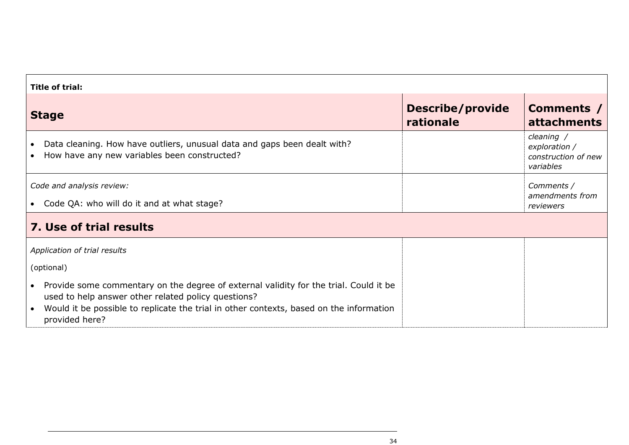| <b>Title of trial:</b>                                                                                                                                                                                                                                      |                                      |                                                                 |  |
|-------------------------------------------------------------------------------------------------------------------------------------------------------------------------------------------------------------------------------------------------------------|--------------------------------------|-----------------------------------------------------------------|--|
| <b>Stage</b>                                                                                                                                                                                                                                                | <b>Describe/provide</b><br>rationale | Comments /<br><b>attachments</b>                                |  |
| Data cleaning. How have outliers, unusual data and gaps been dealt with?<br>$\bullet$<br>How have any new variables been constructed?<br>$\bullet$                                                                                                          |                                      | cleaning /<br>exploration /<br>construction of new<br>variables |  |
| Code and analysis review:                                                                                                                                                                                                                                   |                                      | Comments /<br>amendments from                                   |  |
| • Code QA: who will do it and at what stage?                                                                                                                                                                                                                |                                      | reviewers                                                       |  |
| 7. Use of trial results                                                                                                                                                                                                                                     |                                      |                                                                 |  |
| Application of trial results                                                                                                                                                                                                                                |                                      |                                                                 |  |
| (optional)                                                                                                                                                                                                                                                  |                                      |                                                                 |  |
| • Provide some commentary on the degree of external validity for the trial. Could it be<br>used to help answer other related policy questions?<br>Would it be possible to replicate the trial in other contexts, based on the information<br>provided here? |                                      |                                                                 |  |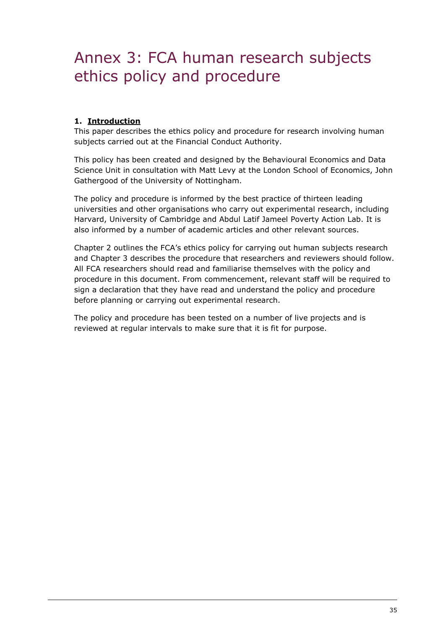# <span id="page-35-0"></span>Annex 3: FCA human research subjects ethics policy and procedure

# **1. Introduction**

This paper describes the ethics policy and procedure for research involving human subjects carried out at the Financial Conduct Authority.

This policy has been created and designed by the Behavioural Economics and Data Science Unit in consultation with Matt Levy at the London School of Economics, John Gathergood of the University of Nottingham.

The policy and procedure is informed by the best practice of thirteen leading universities and other organisations who carry out experimental research, including Harvard, University of Cambridge and Abdul Latif Jameel Poverty Action Lab. It is also informed by a number of academic articles and other relevant sources.

Chapter 2 outlines the FCA's ethics policy for carrying out human subjects research and Chapter 3 describes the procedure that researchers and reviewers should follow. All FCA researchers should read and familiarise themselves with the policy and procedure in this document. From commencement, relevant staff will be required to sign a declaration that they have read and understand the policy and procedure before planning or carrying out experimental research.

The policy and procedure has been tested on a number of live projects and is reviewed at regular intervals to make sure that it is fit for purpose.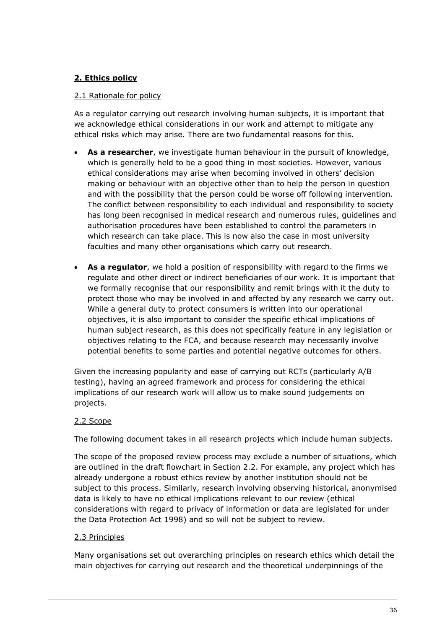# **2. Ethics policy**

# 2.1 Rationale for policy

As a regulator carrying out research involving human subjects, it is important that we acknowledge ethical considerations in our work and attempt to mitigate any ethical risks which may arise. There are two fundamental reasons for this.

- **As a researcher**, we investigate human behaviour in the pursuit of knowledge, which is generally held to be a good thing in most societies. However, various ethical considerations may arise when becoming involved in others' decision making or behaviour with an objective other than to help the person in question and with the possibility that the person could be worse off following intervention. The conflict between responsibility to each individual and responsibility to society has long been recognised in medical research and numerous rules, guidelines and authorisation procedures have been established to control the parameters in which research can take place. This is now also the case in most university faculties and many other organisations which carry out research.
- **As a regulator**, we hold a position of responsibility with regard to the firms we regulate and other direct or indirect beneficiaries of our work. It is important that we formally recognise that our responsibility and remit brings with it the duty to protect those who may be involved in and affected by any research we carry out. While a general duty to protect consumers is written into our operational objectives, it is also important to consider the specific ethical implications of human subject research, as this does not specifically feature in any legislation or objectives relating to the FCA, and because research may necessarily involve potential benefits to some parties and potential negative outcomes for others.

Given the increasing popularity and ease of carrying out RCTs (particularly A/B testing), having an agreed framework and process for considering the ethical implications of our research work will allow us to make sound judgements on projects.

# 2.2 Scope

The following document takes in all research projects which include human subjects.

The scope of the proposed review process may exclude a number of situations, which are outlined in the draft flowchart in Section 2.2. For example, any project which has already undergone a robust ethics review by another institution should not be subject to this process. Similarly, research involving observing historical, anonymised data is likely to have no ethical implications relevant to our review (ethical considerations with regard to privacy of information or data are legislated for under the Data Protection Act 1998) and so will not be subject to review.

## 2.3 Principles

Many organisations set out overarching principles on research ethics which detail the main objectives for carrying out research and the theoretical underpinnings of the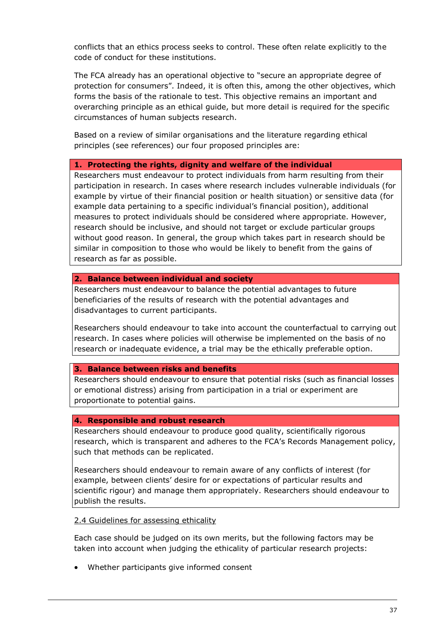conflicts that an ethics process seeks to control. These often relate explicitly to the code of conduct for these institutions.

The FCA already has an operational objective to "secure an appropriate degree of protection for consumers". Indeed, it is often this, among the other objectives, which forms the basis of the rationale to test. This objective remains an important and overarching principle as an ethical guide, but more detail is required for the specific circumstances of human subjects research.

Based on a review of similar organisations and the literature regarding ethical principles (see references) our four proposed principles are:

#### **1. Protecting the rights, dignity and welfare of the individual**

Researchers must endeavour to protect individuals from harm resulting from their participation in research. In cases where research includes vulnerable individuals (for example by virtue of their financial position or health situation) or sensitive data (for example data pertaining to a specific individual's financial position), additional measures to protect individuals should be considered where appropriate. However, research should be inclusive, and should not target or exclude particular groups without good reason. In general, the group which takes part in research should be similar in composition to those who would be likely to benefit from the gains of research as far as possible.

#### **2. Balance between individual and society**

Researchers must endeavour to balance the potential advantages to future beneficiaries of the results of research with the potential advantages and disadvantages to current participants.

Researchers should endeavour to take into account the counterfactual to carrying out research. In cases where policies will otherwise be implemented on the basis of no research or inadequate evidence, a trial may be the ethically preferable option.

## **3. Balance between risks and benefits**

Researchers should endeavour to ensure that potential risks (such as financial losses or emotional distress) arising from participation in a trial or experiment are proportionate to potential gains.

#### **4. Responsible and robust research**

Researchers should endeavour to produce good quality, scientifically rigorous research, which is transparent and adheres to the FCA's Records Management policy, such that methods can be replicated.

Researchers should endeavour to remain aware of any conflicts of interest (for example, between clients' desire for or expectations of particular results and scientific rigour) and manage them appropriately. Researchers should endeavour to publish the results.

#### 2.4 Guidelines for assessing ethicality

Each case should be judged on its own merits, but the following factors may be taken into account when judging the ethicality of particular research projects:

• Whether participants give informed consent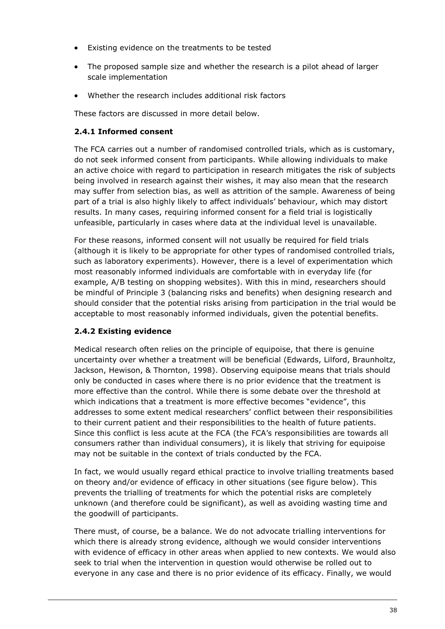- Existing evidence on the treatments to be tested
- The proposed sample size and whether the research is a pilot ahead of larger scale implementation
- Whether the research includes additional risk factors

These factors are discussed in more detail below.

# **2.4.1 Informed consent**

The FCA carries out a number of randomised controlled trials, which as is customary, do not seek informed consent from participants. While allowing individuals to make an active choice with regard to participation in research mitigates the risk of subjects being involved in research against their wishes, it may also mean that the research may suffer from selection bias, as well as attrition of the sample. Awareness of being part of a trial is also highly likely to affect individuals' behaviour, which may distort results. In many cases, requiring informed consent for a field trial is logistically unfeasible, particularly in cases where data at the individual level is unavailable.

For these reasons, informed consent will not usually be required for field trials (although it is likely to be appropriate for other types of randomised controlled trials, such as laboratory experiments). However, there is a level of experimentation which most reasonably informed individuals are comfortable with in everyday life (for example, A/B testing on shopping websites). With this in mind, researchers should be mindful of Principle 3 (balancing risks and benefits) when designing research and should consider that the potential risks arising from participation in the trial would be acceptable to most reasonably informed individuals, given the potential benefits.

# **2.4.2 Existing evidence**

Medical research often relies on the principle of equipoise, that there is genuine uncertainty over whether a treatment will be beneficial (Edwards, Lilford, Braunholtz, Jackson, Hewison, & Thornton, 1998). Observing equipoise means that trials should only be conducted in cases where there is no prior evidence that the treatment is more effective than the control. While there is some debate over the threshold at which indications that a treatment is more effective becomes "evidence", this addresses to some extent medical researchers' conflict between their responsibilities to their current patient and their responsibilities to the health of future patients. Since this conflict is less acute at the FCA (the FCA's responsibilities are towards all consumers rather than individual consumers), it is likely that striving for equipoise may not be suitable in the context of trials conducted by the FCA.

In fact, we would usually regard ethical practice to involve trialling treatments based on theory and/or evidence of efficacy in other situations (see figure below). This prevents the trialling of treatments for which the potential risks are completely unknown (and therefore could be significant), as well as avoiding wasting time and the goodwill of participants.

There must, of course, be a balance. We do not advocate trialling interventions for which there is already strong evidence, although we would consider interventions with evidence of efficacy in other areas when applied to new contexts. We would also seek to trial when the intervention in question would otherwise be rolled out to everyone in any case and there is no prior evidence of its efficacy. Finally, we would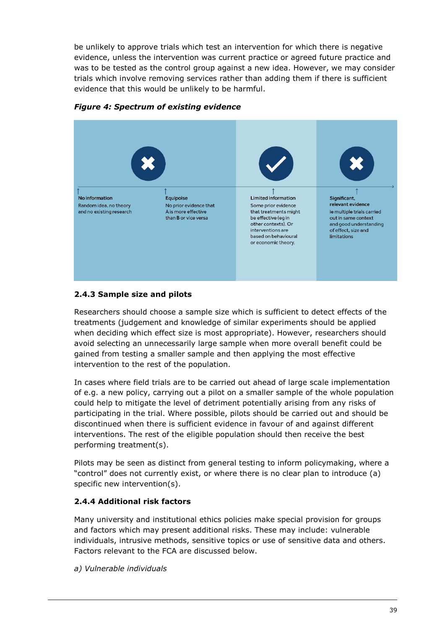be unlikely to approve trials which test an intervention for which there is negative evidence, unless the intervention was current practice or agreed future practice and was to be tested as the control group against a new idea. However, we may consider trials which involve removing services rather than adding them if there is sufficient evidence that this would be unlikely to be harmful.



*Figure 4: Spectrum of existing evidence*

# **2.4.3 Sample size and pilots**

Researchers should choose a sample size which is sufficient to detect effects of the treatments (judgement and knowledge of similar experiments should be applied when deciding which effect size is most appropriate). However, researchers should avoid selecting an unnecessarily large sample when more overall benefit could be gained from testing a smaller sample and then applying the most effective intervention to the rest of the population.

In cases where field trials are to be carried out ahead of large scale implementation of e.g. a new policy, carrying out a pilot on a smaller sample of the whole population could help to mitigate the level of detriment potentially arising from any risks of participating in the trial. Where possible, pilots should be carried out and should be discontinued when there is sufficient evidence in favour of and against different interventions. The rest of the eligible population should then receive the best performing treatment(s).

Pilots may be seen as distinct from general testing to inform policymaking, where a "control" does not currently exist, or where there is no clear plan to introduce (a) specific new intervention(s).

## **2.4.4 Additional risk factors**

Many university and institutional ethics policies make special provision for groups and factors which may present additional risks. These may include: vulnerable individuals, intrusive methods, sensitive topics or use of sensitive data and others. Factors relevant to the FCA are discussed below.

*a) Vulnerable individuals*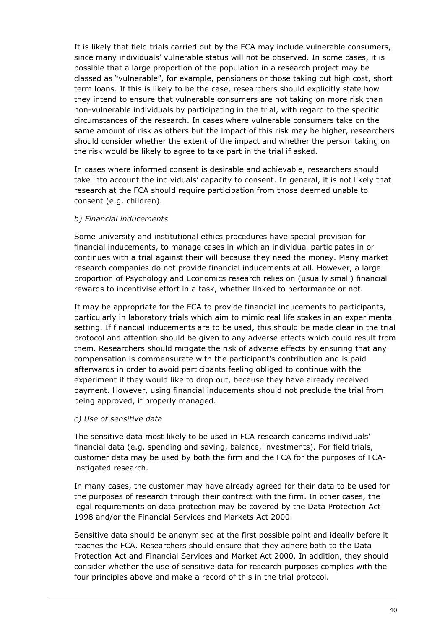It is likely that field trials carried out by the FCA may include vulnerable consumers, since many individuals' vulnerable status will not be observed. In some cases, it is possible that a large proportion of the population in a research project may be classed as "vulnerable", for example, pensioners or those taking out high cost, short term loans. If this is likely to be the case, researchers should explicitly state how they intend to ensure that vulnerable consumers are not taking on more risk than non-vulnerable individuals by participating in the trial, with regard to the specific circumstances of the research. In cases where vulnerable consumers take on the same amount of risk as others but the impact of this risk may be higher, researchers should consider whether the extent of the impact and whether the person taking on the risk would be likely to agree to take part in the trial if asked.

In cases where informed consent is desirable and achievable, researchers should take into account the individuals' capacity to consent. In general, it is not likely that research at the FCA should require participation from those deemed unable to consent (e.g. children).

# *b) Financial inducements*

Some university and institutional ethics procedures have special provision for financial inducements, to manage cases in which an individual participates in or continues with a trial against their will because they need the money. Many market research companies do not provide financial inducements at all. However, a large proportion of Psychology and Economics research relies on (usually small) financial rewards to incentivise effort in a task, whether linked to performance or not.

It may be appropriate for the FCA to provide financial inducements to participants, particularly in laboratory trials which aim to mimic real life stakes in an experimental setting. If financial inducements are to be used, this should be made clear in the trial protocol and attention should be given to any adverse effects which could result from them. Researchers should mitigate the risk of adverse effects by ensuring that any compensation is commensurate with the participant's contribution and is paid afterwards in order to avoid participants feeling obliged to continue with the experiment if they would like to drop out, because they have already received payment. However, using financial inducements should not preclude the trial from being approved, if properly managed.

## *c) Use of sensitive data*

The sensitive data most likely to be used in FCA research concerns individuals' financial data (e.g. spending and saving, balance, investments). For field trials, customer data may be used by both the firm and the FCA for the purposes of FCAinstigated research.

In many cases, the customer may have already agreed for their data to be used for the purposes of research through their contract with the firm. In other cases, the legal requirements on data protection may be covered by the Data Protection Act 1998 and/or the Financial Services and Markets Act 2000.

Sensitive data should be anonymised at the first possible point and ideally before it reaches the FCA. Researchers should ensure that they adhere both to the Data Protection Act and Financial Services and Market Act 2000. In addition, they should consider whether the use of sensitive data for research purposes complies with the four principles above and make a record of this in the trial protocol.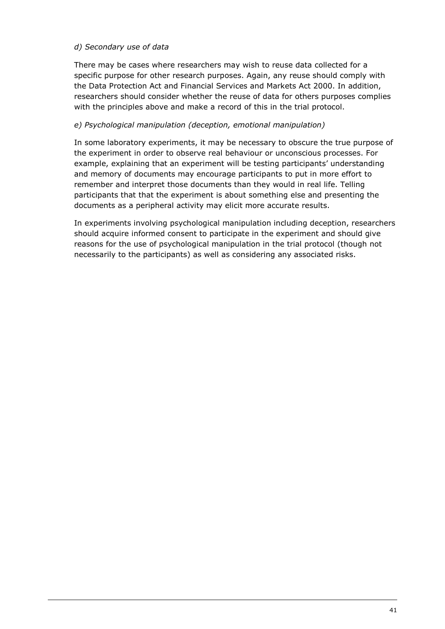# *d) Secondary use of data*

There may be cases where researchers may wish to reuse data collected for a specific purpose for other research purposes. Again, any reuse should comply with the Data Protection Act and Financial Services and Markets Act 2000. In addition, researchers should consider whether the reuse of data for others purposes complies with the principles above and make a record of this in the trial protocol.

# *e) Psychological manipulation (deception, emotional manipulation)*

In some laboratory experiments, it may be necessary to obscure the true purpose of the experiment in order to observe real behaviour or unconscious processes. For example, explaining that an experiment will be testing participants' understanding and memory of documents may encourage participants to put in more effort to remember and interpret those documents than they would in real life. Telling participants that that the experiment is about something else and presenting the documents as a peripheral activity may elicit more accurate results.

In experiments involving psychological manipulation including deception, researchers should acquire informed consent to participate in the experiment and should give reasons for the use of psychological manipulation in the trial protocol (though not necessarily to the participants) as well as considering any associated risks.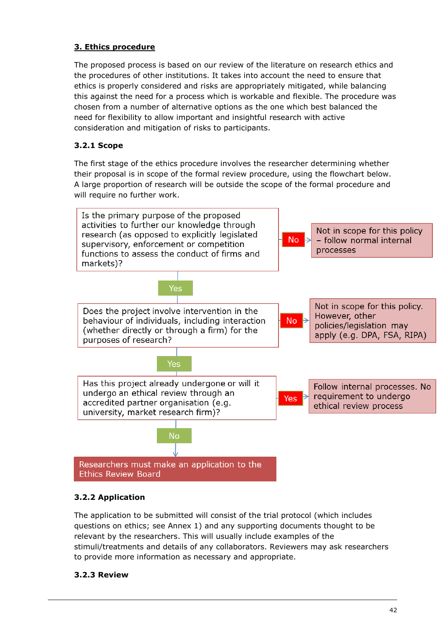# **3. Ethics procedure**

The proposed process is based on our review of the literature on research ethics and the procedures of other institutions. It takes into account the need to ensure that ethics is properly considered and risks are appropriately mitigated, while balancing this against the need for a process which is workable and flexible. The procedure was chosen from a number of alternative options as the one which best balanced the need for flexibility to allow important and insightful research with active consideration and mitigation of risks to participants.

# **3.2.1 Scope**

The first stage of the ethics procedure involves the researcher determining whether their proposal is in scope of the formal review procedure, using the flowchart below. A large proportion of research will be outside the scope of the formal procedure and will require no further work.



# **3.2.2 Application**

The application to be submitted will consist of the trial protocol (which includes questions on ethics; see Annex 1) and any supporting documents thought to be relevant by the researchers. This will usually include examples of the stimuli/treatments and details of any collaborators. Reviewers may ask researchers to provide more information as necessary and appropriate.

# **3.2.3 Review**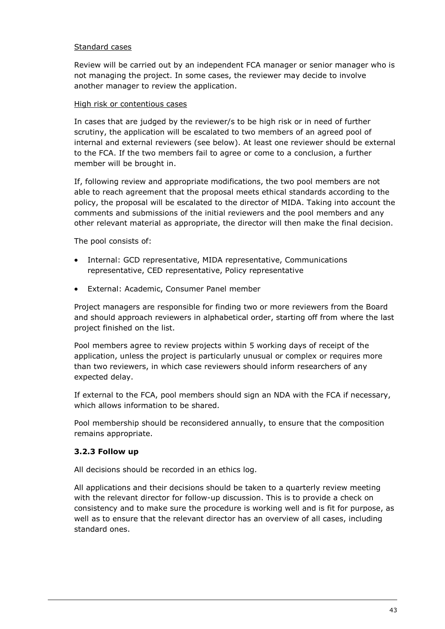## Standard cases

Review will be carried out by an independent FCA manager or senior manager who is not managing the project. In some cases, the reviewer may decide to involve another manager to review the application.

#### High risk or contentious cases

In cases that are judged by the reviewer/s to be high risk or in need of further scrutiny, the application will be escalated to two members of an agreed pool of internal and external reviewers (see below). At least one reviewer should be external to the FCA. If the two members fail to agree or come to a conclusion, a further member will be brought in.

If, following review and appropriate modifications, the two pool members are not able to reach agreement that the proposal meets ethical standards according to the policy, the proposal will be escalated to the director of MIDA. Taking into account the comments and submissions of the initial reviewers and the pool members and any other relevant material as appropriate, the director will then make the final decision.

The pool consists of:

- Internal: GCD representative, MIDA representative, Communications representative, CED representative, Policy representative
- External: Academic, Consumer Panel member

Project managers are responsible for finding two or more reviewers from the Board and should approach reviewers in alphabetical order, starting off from where the last project finished on the list.

Pool members agree to review projects within 5 working days of receipt of the application, unless the project is particularly unusual or complex or requires more than two reviewers, in which case reviewers should inform researchers of any expected delay.

If external to the FCA, pool members should sign an NDA with the FCA if necessary, which allows information to be shared.

Pool membership should be reconsidered annually, to ensure that the composition remains appropriate.

## **3.2.3 Follow up**

All decisions should be recorded in an ethics log.

All applications and their decisions should be taken to a quarterly review meeting with the relevant director for follow-up discussion. This is to provide a check on consistency and to make sure the procedure is working well and is fit for purpose, as well as to ensure that the relevant director has an overview of all cases, including standard ones.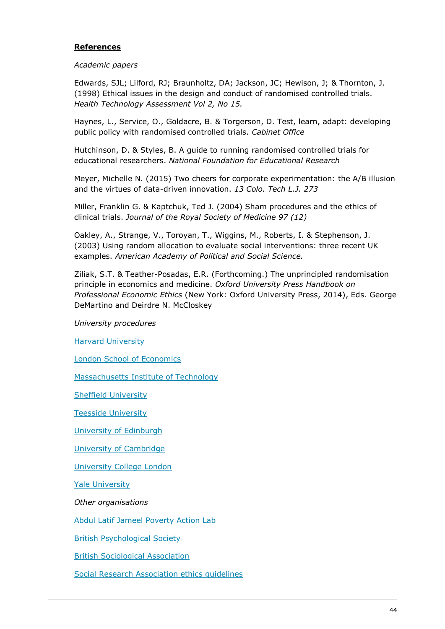#### **References**

#### *Academic papers*

Edwards, SJL; Lilford, RJ; Braunholtz, DA; Jackson, JC; Hewison, J; & Thornton, J. (1998) Ethical issues in the design and conduct of randomised controlled trials. *Health Technology Assessment Vol 2, No 15.*

Haynes, L., Service, O., Goldacre, B. & Torgerson, D. Test, learn, adapt: developing public policy with randomised controlled trials. *Cabinet Office*

Hutchinson, D. & Styles, B. A guide to running randomised controlled trials for educational researchers. *National Foundation for Educational Research*

Meyer, Michelle N. (2015) Two cheers for corporate experimentation: the A/B illusion and the virtues of data-driven innovation. *13 Colo. Tech L.J. 273*

Miller, Franklin G. & Kaptchuk, Ted J. (2004) Sham procedures and the ethics of clinical trials. *Journal of the Royal Society of Medicine 97 (12)*

Oakley, A., Strange, V., Toroyan, T., Wiggins, M., Roberts, I. & Stephenson, J. (2003) Using random allocation to evaluate social interventions: three recent UK examples. *American Academy of Political and Social Science.*

Ziliak, S.T. & Teather-Posadas, E.R. (Forthcoming.) The unprincipled randomisation principle in economics and medicine. *Oxford University Press Handbook on Professional Economic Ethics* (New York: Oxford University Press, 2014), Eds. George DeMartino and Deirdre N. McCloskey

*University procedures*

[Harvard University](http://cuhs.harvard.edu/index.php?option=com_content&view=article&id=92&Itemid=486)

[London School of Economics](http://www.lse.ac.uk/intranet/researchAndDevelopment/researchDivision/policyAndEthics/QuickGuide-Research-Ethics-web.pdf)

[Massachusetts Institute of Technology](http://couhes.mit.edu/forms-templates)

[Sheffield University](https://www.sheffield.ac.uk/polopoly_fs/1.112672!/file/Approval-Procedure.pdf)

[Teesside University](https://www.tees.ac.uk/docs/DocRepo/Research/ethics.pdf)

[University of Edinburgh](http://www.psy.ed.ac.uk/psy_research/research_ethics.php)

[University of Cambridge](http://www.bio.cam.ac.uk/psyres)

[University College London](http://ethics.grad.ucl.ac.uk/accepted-ethical-standards.php)

[Yale University](http://www.yale.edu/hrpp/forms-templates/behavioral.html)

*Other organisations*

[Abdul Latif Jameel Poverty Action Lab](http://www.povertyactionlab.org/methodology/who/who-participates-randomized-evaluations)

[British Psychological Society](http://www.bps.org.uk/sites/default/files/documents/code_of_human_research_ethics.pdf)

[British Sociological Association](https://www.york.ac.uk/media/abouttheuniversity/governanceandmanagement/governance/ethicscommittee/hssec/documents/BSA%20statement%20of%20ethical%20practice.pdf)

[Social Research Association ethics guidelines](http://the-sra.org.uk/wp-content/uploads/ethics03.pdf)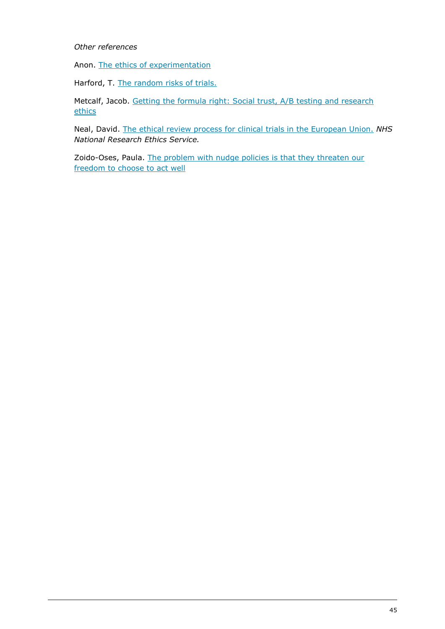#### *Other references*

Anon. [The ethics of experimentation](http://www.digital-tonic.co.uk/digital-tonic-blog/the-ethics-of-experimentation/)

Harford, T. [The random risks of trials.](http://timharford.com/2014/04/the-random-risks-of-randomised-trials/)

Metcalf, Jacob. Getting the formula right: Social trust, A/B testing and research **[ethics](http://www.ethicalresolve.com/getting-the-formula-right-social-trust-ab-testing-and-research-ethics/)** 

Neal, David. [The ethical review process for clinical trials in the European Union.](http://www.ema.europa.eu/docs/en_GB/document_library/Presentation/2010/06/WC500093372.pdf) *NHS National Research Ethics Service.*

Zoido-Oses, Paula. [The problem with nudge policies is that they threaten our](http://blogs.lse.ac.uk/politicsandpolicy/the-problem-with-nudge-policies-freedom-to-choose/)  [freedom to choose to act well](http://blogs.lse.ac.uk/politicsandpolicy/the-problem-with-nudge-policies-freedom-to-choose/)